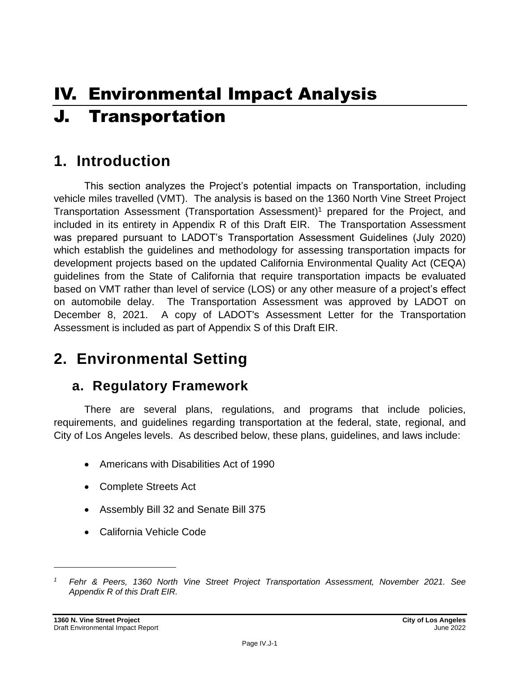# IV. Environmental Impact Analysis J. Transportation

## **1. Introduction**

This section analyzes the Project's potential impacts on Transportation, including vehicle miles travelled (VMT). The analysis is based on the 1360 North Vine Street Project Transportation Assessment (Transportation Assessment)<sup>1</sup> prepared for the Project, and included in its entirety in Appendix R of this Draft EIR. The Transportation Assessment was prepared pursuant to LADOT's Transportation Assessment Guidelines (July 2020) which establish the guidelines and methodology for assessing transportation impacts for development projects based on the updated California Environmental Quality Act (CEQA) guidelines from the State of California that require transportation impacts be evaluated based on VMT rather than level of service (LOS) or any other measure of a project's effect on automobile delay. The Transportation Assessment was approved by LADOT on December 8, 2021. A copy of LADOT's Assessment Letter for the Transportation Assessment is included as part of Appendix S of this Draft EIR.

## **2. Environmental Setting**

## **a. Regulatory Framework**

There are several plans, regulations, and programs that include policies, requirements, and guidelines regarding transportation at the federal, state, regional, and City of Los Angeles levels. As described below, these plans, guidelines, and laws include:

- Americans with Disabilities Act of 1990
- Complete Streets Act
- Assembly Bill 32 and Senate Bill 375
- California Vehicle Code

*<sup>1</sup> Fehr & Peers, 1360 North Vine Street Project Transportation Assessment, November 2021. See Appendix R of this Draft EIR.*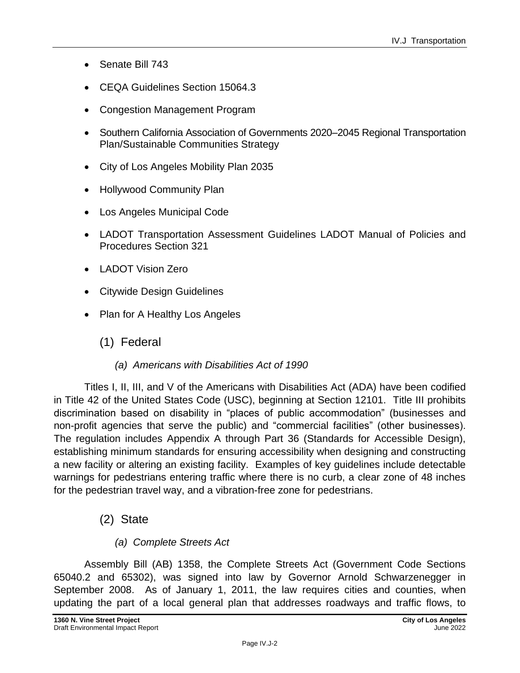- Senate Bill 743
- CEQA Guidelines Section 15064.3
- Congestion Management Program
- Southern California Association of Governments 2020–2045 Regional Transportation Plan/Sustainable Communities Strategy
- City of Los Angeles Mobility Plan 2035
- Hollywood Community Plan
- Los Angeles Municipal Code
- LADOT Transportation Assessment Guidelines LADOT Manual of Policies and Procedures Section 321
- LADOT Vision Zero
- Citywide Design Guidelines
- Plan for A Healthy Los Angeles
	- (1) Federal
		- *(a) Americans with Disabilities Act of 1990*

Titles I, II, III, and V of the Americans with Disabilities Act (ADA) have been codified in Title 42 of the United States Code (USC), beginning at Section 12101. Title III prohibits discrimination based on disability in "places of public accommodation" (businesses and non-profit agencies that serve the public) and "commercial facilities" (other businesses). The regulation includes Appendix A through Part 36 (Standards for Accessible Design), establishing minimum standards for ensuring accessibility when designing and constructing a new facility or altering an existing facility. Examples of key guidelines include detectable warnings for pedestrians entering traffic where there is no curb, a clear zone of 48 inches for the pedestrian travel way, and a vibration-free zone for pedestrians.

- (2) State
	- *(a) Complete Streets Act*

Assembly Bill (AB) 1358, the Complete Streets Act (Government Code Sections 65040.2 and 65302), was signed into law by Governor Arnold Schwarzenegger in September 2008. As of January 1, 2011, the law requires cities and counties, when updating the part of a local general plan that addresses roadways and traffic flows, to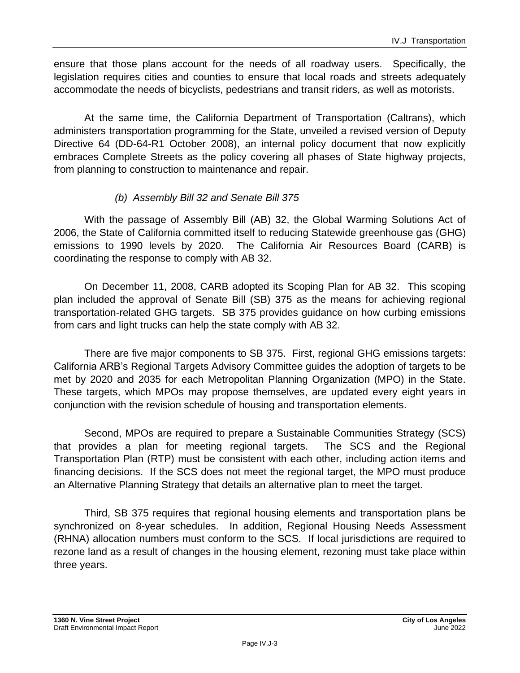ensure that those plans account for the needs of all roadway users. Specifically, the legislation requires cities and counties to ensure that local roads and streets adequately accommodate the needs of bicyclists, pedestrians and transit riders, as well as motorists.

At the same time, the California Department of Transportation (Caltrans), which administers transportation programming for the State, unveiled a revised version of Deputy Directive 64 (DD-64-R1 October 2008), an internal policy document that now explicitly embraces Complete Streets as the policy covering all phases of State highway projects, from planning to construction to maintenance and repair.

#### *(b) Assembly Bill 32 and Senate Bill 375*

With the passage of Assembly Bill (AB) 32, the Global Warming Solutions Act of 2006, the State of California committed itself to reducing Statewide greenhouse gas (GHG) emissions to 1990 levels by 2020. The California Air Resources Board (CARB) is coordinating the response to comply with AB 32.

On December 11, 2008, CARB adopted its Scoping Plan for AB 32. This scoping plan included the approval of Senate Bill (SB) 375 as the means for achieving regional transportation-related GHG targets. SB 375 provides guidance on how curbing emissions from cars and light trucks can help the state comply with AB 32.

There are five major components to SB 375. First, regional GHG emissions targets: California ARB's Regional Targets Advisory Committee guides the adoption of targets to be met by 2020 and 2035 for each Metropolitan Planning Organization (MPO) in the State. These targets, which MPOs may propose themselves, are updated every eight years in conjunction with the revision schedule of housing and transportation elements.

Second, MPOs are required to prepare a Sustainable Communities Strategy (SCS) that provides a plan for meeting regional targets. The SCS and the Regional Transportation Plan (RTP) must be consistent with each other, including action items and financing decisions. If the SCS does not meet the regional target, the MPO must produce an Alternative Planning Strategy that details an alternative plan to meet the target.

Third, SB 375 requires that regional housing elements and transportation plans be synchronized on 8-year schedules. In addition, Regional Housing Needs Assessment (RHNA) allocation numbers must conform to the SCS. If local jurisdictions are required to rezone land as a result of changes in the housing element, rezoning must take place within three years.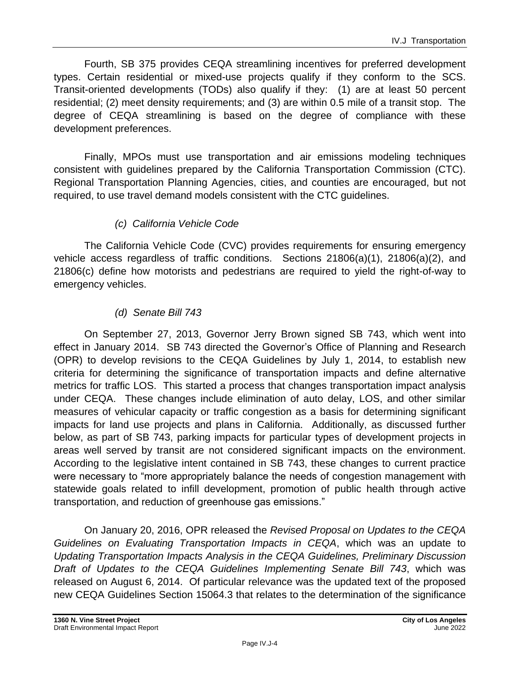Fourth, SB 375 provides CEQA streamlining incentives for preferred development types. Certain residential or mixed-use projects qualify if they conform to the SCS. Transit-oriented developments (TODs) also qualify if they: (1) are at least 50 percent residential; (2) meet density requirements; and (3) are within 0.5 mile of a transit stop. The degree of CEQA streamlining is based on the degree of compliance with these development preferences.

Finally, MPOs must use transportation and air emissions modeling techniques consistent with guidelines prepared by the California Transportation Commission (CTC). Regional Transportation Planning Agencies, cities, and counties are encouraged, but not required, to use travel demand models consistent with the CTC guidelines.

#### *(c) California Vehicle Code*

The California Vehicle Code (CVC) provides requirements for ensuring emergency vehicle access regardless of traffic conditions. Sections 21806(a)(1), 21806(a)(2), and 21806(c) define how motorists and pedestrians are required to yield the right-of-way to emergency vehicles.

#### *(d) Senate Bill 743*

On September 27, 2013, Governor Jerry Brown signed SB 743, which went into effect in January 2014. SB 743 directed the Governor's Office of Planning and Research (OPR) to develop revisions to the CEQA Guidelines by July 1, 2014, to establish new criteria for determining the significance of transportation impacts and define alternative metrics for traffic LOS. This started a process that changes transportation impact analysis under CEQA. These changes include elimination of auto delay, LOS, and other similar measures of vehicular capacity or traffic congestion as a basis for determining significant impacts for land use projects and plans in California. Additionally, as discussed further below, as part of SB 743, parking impacts for particular types of development projects in areas well served by transit are not considered significant impacts on the environment. According to the legislative intent contained in SB 743, these changes to current practice were necessary to "more appropriately balance the needs of congestion management with statewide goals related to infill development, promotion of public health through active transportation, and reduction of greenhouse gas emissions."

On January 20, 2016, OPR released the *Revised Proposal on Updates to the CEQA Guidelines on Evaluating Transportation Impacts in CEQA*, which was an update to *Updating Transportation Impacts Analysis in the CEQA Guidelines, Preliminary Discussion Draft of Updates to the CEQA Guidelines Implementing Senate Bill 743*, which was released on August 6, 2014. Of particular relevance was the updated text of the proposed new CEQA Guidelines Section 15064.3 that relates to the determination of the significance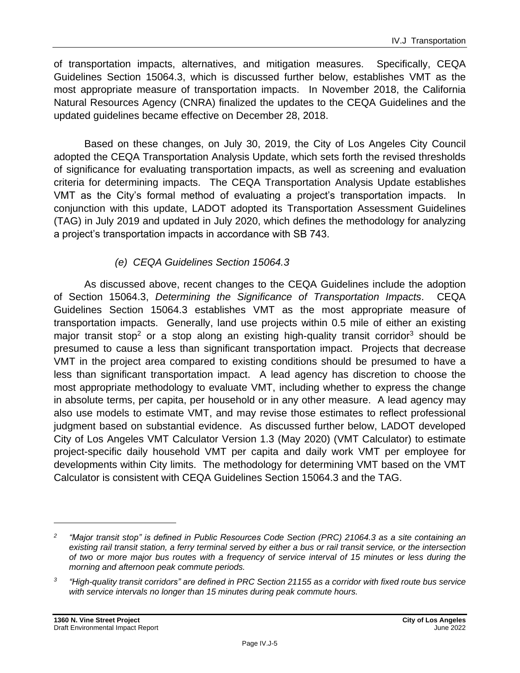of transportation impacts, alternatives, and mitigation measures. Specifically, CEQA Guidelines Section 15064.3, which is discussed further below, establishes VMT as the most appropriate measure of transportation impacts. In November 2018, the California Natural Resources Agency (CNRA) finalized the updates to the CEQA Guidelines and the updated guidelines became effective on December 28, 2018.

Based on these changes, on July 30, 2019, the City of Los Angeles City Council adopted the CEQA Transportation Analysis Update, which sets forth the revised thresholds of significance for evaluating transportation impacts, as well as screening and evaluation criteria for determining impacts. The CEQA Transportation Analysis Update establishes VMT as the City's formal method of evaluating a project's transportation impacts. In conjunction with this update, LADOT adopted its Transportation Assessment Guidelines (TAG) in July 2019 and updated in July 2020, which defines the methodology for analyzing a project's transportation impacts in accordance with SB 743.

#### *(e) CEQA Guidelines Section 15064.3*

As discussed above, recent changes to the CEQA Guidelines include the adoption of Section 15064.3, *Determining the Significance of Transportation Impacts*. CEQA Guidelines Section 15064.3 establishes VMT as the most appropriate measure of transportation impacts. Generally, land use projects within 0.5 mile of either an existing major transit stop<sup>2</sup> or a stop along an existing high-quality transit corridor<sup>3</sup> should be presumed to cause a less than significant transportation impact. Projects that decrease VMT in the project area compared to existing conditions should be presumed to have a less than significant transportation impact. A lead agency has discretion to choose the most appropriate methodology to evaluate VMT, including whether to express the change in absolute terms, per capita, per household or in any other measure. A lead agency may also use models to estimate VMT, and may revise those estimates to reflect professional judgment based on substantial evidence. As discussed further below, LADOT developed City of Los Angeles VMT Calculator Version 1.3 (May 2020) (VMT Calculator) to estimate project-specific daily household VMT per capita and daily work VMT per employee for developments within City limits. The methodology for determining VMT based on the VMT Calculator is consistent with CEQA Guidelines Section 15064.3 and the TAG.

*<sup>2</sup> "Major transit stop" is defined in Public Resources Code Section (PRC) 21064.3 as a site containing an existing rail transit station, a ferry terminal served by either a bus or rail transit service, or the intersection of two or more major bus routes with a frequency of service interval of 15 minutes or less during the morning and afternoon peak commute periods.*

*<sup>3</sup> "High-quality transit corridors" are defined in PRC Section 21155 as a corridor with fixed route bus service with service intervals no longer than 15 minutes during peak commute hours.*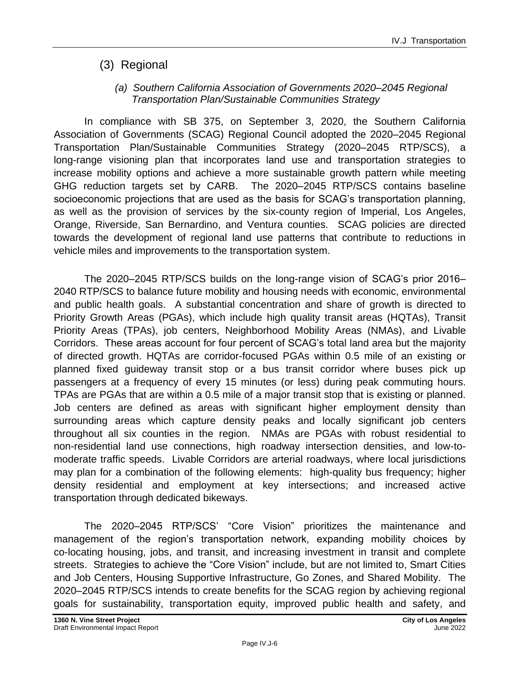## (3) Regional

#### *(a) Southern California Association of Governments 2020–2045 Regional Transportation Plan/Sustainable Communities Strategy*

In compliance with SB 375, on September 3, 2020, the Southern California Association of Governments (SCAG) Regional Council adopted the 2020–2045 Regional Transportation Plan/Sustainable Communities Strategy (2020–2045 RTP/SCS), a long-range visioning plan that incorporates land use and transportation strategies to increase mobility options and achieve a more sustainable growth pattern while meeting GHG reduction targets set by CARB. The 2020–2045 RTP/SCS contains baseline socioeconomic projections that are used as the basis for SCAG's transportation planning, as well as the provision of services by the six-county region of Imperial, Los Angeles, Orange, Riverside, San Bernardino, and Ventura counties. SCAG policies are directed towards the development of regional land use patterns that contribute to reductions in vehicle miles and improvements to the transportation system.

The 2020–2045 RTP/SCS builds on the long-range vision of SCAG's prior 2016– 2040 RTP/SCS to balance future mobility and housing needs with economic, environmental and public health goals. A substantial concentration and share of growth is directed to Priority Growth Areas (PGAs), which include high quality transit areas (HQTAs), Transit Priority Areas (TPAs), job centers, Neighborhood Mobility Areas (NMAs), and Livable Corridors. These areas account for four percent of SCAG's total land area but the majority of directed growth. HQTAs are corridor-focused PGAs within 0.5 mile of an existing or planned fixed guideway transit stop or a bus transit corridor where buses pick up passengers at a frequency of every 15 minutes (or less) during peak commuting hours. TPAs are PGAs that are within a 0.5 mile of a major transit stop that is existing or planned. Job centers are defined as areas with significant higher employment density than surrounding areas which capture density peaks and locally significant job centers throughout all six counties in the region. NMAs are PGAs with robust residential to non-residential land use connections, high roadway intersection densities, and low-tomoderate traffic speeds. Livable Corridors are arterial roadways, where local jurisdictions may plan for a combination of the following elements: high-quality bus frequency; higher density residential and employment at key intersections; and increased active transportation through dedicated bikeways.

The 2020–2045 RTP/SCS' "Core Vision" prioritizes the maintenance and management of the region's transportation network, expanding mobility choices by co-locating housing, jobs, and transit, and increasing investment in transit and complete streets. Strategies to achieve the "Core Vision" include, but are not limited to, Smart Cities and Job Centers, Housing Supportive Infrastructure, Go Zones, and Shared Mobility. The 2020–2045 RTP/SCS intends to create benefits for the SCAG region by achieving regional goals for sustainability, transportation equity, improved public health and safety, and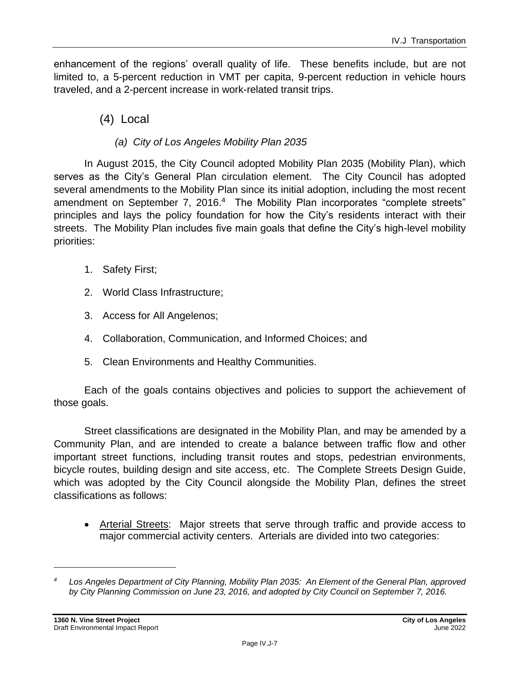enhancement of the regions' overall quality of life. These benefits include, but are not limited to, a 5-percent reduction in VMT per capita, 9-percent reduction in vehicle hours traveled, and a 2-percent increase in work-related transit trips.

(4) Local

#### *(a) City of Los Angeles Mobility Plan 2035*

In August 2015, the City Council adopted Mobility Plan 2035 (Mobility Plan), which serves as the City's General Plan circulation element. The City Council has adopted several amendments to the Mobility Plan since its initial adoption, including the most recent amendment on September 7, 2016.<sup>4</sup> The Mobility Plan incorporates "complete streets" principles and lays the policy foundation for how the City's residents interact with their streets. The Mobility Plan includes five main goals that define the City's high-level mobility priorities:

- 1. Safety First;
- 2. World Class Infrastructure;
- 3. Access for All Angelenos;
- 4. Collaboration, Communication, and Informed Choices; and
- 5. Clean Environments and Healthy Communities.

Each of the goals contains objectives and policies to support the achievement of those goals.

Street classifications are designated in the Mobility Plan, and may be amended by a Community Plan, and are intended to create a balance between traffic flow and other important street functions, including transit routes and stops, pedestrian environments, bicycle routes, building design and site access, etc. The Complete Streets Design Guide, which was adopted by the City Council alongside the Mobility Plan, defines the street classifications as follows:

• Arterial Streets: Major streets that serve through traffic and provide access to major commercial activity centers. Arterials are divided into two categories:

*<sup>4</sup> Los Angeles Department of City Planning, Mobility Plan 2035: An Element of the General Plan, approved by City Planning Commission on June 23, 2016, and adopted by City Council on September 7, 2016.*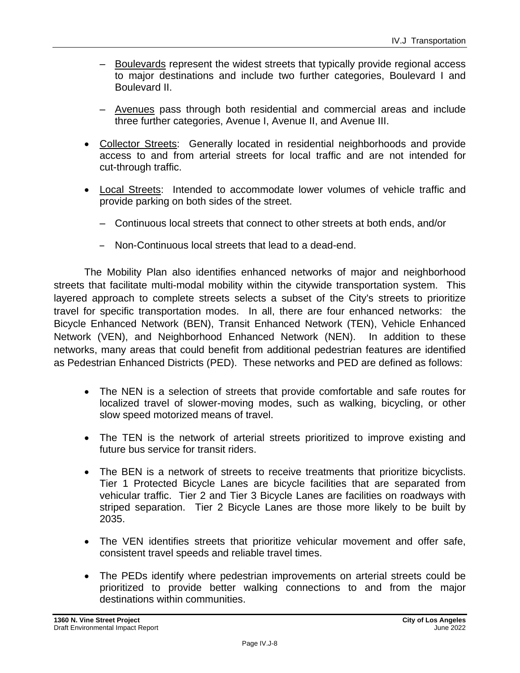- Boulevards represent the widest streets that typically provide regional access to major destinations and include two further categories, Boulevard I and Boulevard II.
- Avenues pass through both residential and commercial areas and include three further categories, Avenue I, Avenue II, and Avenue III.
- Collector Streets: Generally located in residential neighborhoods and provide access to and from arterial streets for local traffic and are not intended for cut-through traffic.
- Local Streets: Intended to accommodate lower volumes of vehicle traffic and provide parking on both sides of the street.
	- Continuous local streets that connect to other streets at both ends, and/or
	- Non-Continuous local streets that lead to a dead-end.

The Mobility Plan also identifies enhanced networks of major and neighborhood streets that facilitate multi-modal mobility within the citywide transportation system. This layered approach to complete streets selects a subset of the City's streets to prioritize travel for specific transportation modes. In all, there are four enhanced networks: the Bicycle Enhanced Network (BEN), Transit Enhanced Network (TEN), Vehicle Enhanced Network (VEN), and Neighborhood Enhanced Network (NEN). In addition to these networks, many areas that could benefit from additional pedestrian features are identified as Pedestrian Enhanced Districts (PED). These networks and PED are defined as follows:

- The NEN is a selection of streets that provide comfortable and safe routes for localized travel of slower-moving modes, such as walking, bicycling, or other slow speed motorized means of travel.
- The TEN is the network of arterial streets prioritized to improve existing and future bus service for transit riders.
- The BEN is a network of streets to receive treatments that prioritize bicyclists. Tier 1 Protected Bicycle Lanes are bicycle facilities that are separated from vehicular traffic. Tier 2 and Tier 3 Bicycle Lanes are facilities on roadways with striped separation. Tier 2 Bicycle Lanes are those more likely to be built by 2035.
- The VEN identifies streets that prioritize vehicular movement and offer safe, consistent travel speeds and reliable travel times.
- The PEDs identify where pedestrian improvements on arterial streets could be prioritized to provide better walking connections to and from the major destinations within communities.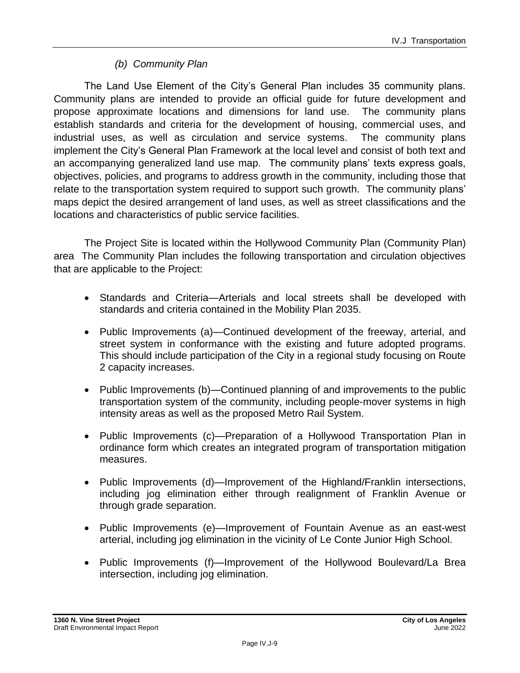#### *(b) Community Plan*

The Land Use Element of the City's General Plan includes 35 community plans. Community plans are intended to provide an official guide for future development and propose approximate locations and dimensions for land use. The community plans establish standards and criteria for the development of housing, commercial uses, and industrial uses, as well as circulation and service systems. The community plans implement the City's General Plan Framework at the local level and consist of both text and an accompanying generalized land use map. The community plans' texts express goals, objectives, policies, and programs to address growth in the community, including those that relate to the transportation system required to support such growth. The community plans' maps depict the desired arrangement of land uses, as well as street classifications and the locations and characteristics of public service facilities.

The Project Site is located within the Hollywood Community Plan (Community Plan) area The Community Plan includes the following transportation and circulation objectives that are applicable to the Project:

- Standards and Criteria—Arterials and local streets shall be developed with standards and criteria contained in the Mobility Plan 2035.
- Public Improvements (a)—Continued development of the freeway, arterial, and street system in conformance with the existing and future adopted programs. This should include participation of the City in a regional study focusing on Route 2 capacity increases.
- Public Improvements (b)—Continued planning of and improvements to the public transportation system of the community, including people-mover systems in high intensity areas as well as the proposed Metro Rail System.
- Public Improvements (c)—Preparation of a Hollywood Transportation Plan in ordinance form which creates an integrated program of transportation mitigation measures.
- Public Improvements (d)—Improvement of the Highland/Franklin intersections, including jog elimination either through realignment of Franklin Avenue or through grade separation.
- Public Improvements (e)—Improvement of Fountain Avenue as an east-west arterial, including jog elimination in the vicinity of Le Conte Junior High School.
- Public Improvements (f)—Improvement of the Hollywood Boulevard/La Brea intersection, including jog elimination.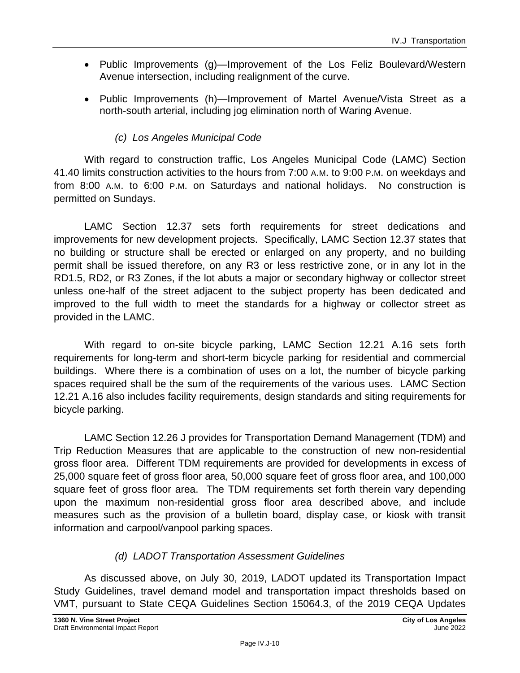- Public Improvements (g)—Improvement of the Los Feliz Boulevard/Western Avenue intersection, including realignment of the curve.
- Public Improvements (h)—Improvement of Martel Avenue/Vista Street as a north-south arterial, including jog elimination north of Waring Avenue.

#### *(c) Los Angeles Municipal Code*

With regard to construction traffic, Los Angeles Municipal Code (LAMC) Section 41.40 limits construction activities to the hours from 7:00 A.M. to 9:00 P.M. on weekdays and from 8:00 A.M. to 6:00 P.M. on Saturdays and national holidays. No construction is permitted on Sundays.

LAMC Section 12.37 sets forth requirements for street dedications and improvements for new development projects. Specifically, LAMC Section 12.37 states that no building or structure shall be erected or enlarged on any property, and no building permit shall be issued therefore, on any R3 or less restrictive zone, or in any lot in the RD1.5, RD2, or R3 Zones, if the lot abuts a major or secondary highway or collector street unless one-half of the street adjacent to the subject property has been dedicated and improved to the full width to meet the standards for a highway or collector street as provided in the LAMC.

With regard to on-site bicycle parking, LAMC Section 12.21 A.16 sets forth requirements for long-term and short-term bicycle parking for residential and commercial buildings. Where there is a combination of uses on a lot, the number of bicycle parking spaces required shall be the sum of the requirements of the various uses. LAMC Section 12.21 A.16 also includes facility requirements, design standards and siting requirements for bicycle parking.

LAMC Section 12.26 J provides for Transportation Demand Management (TDM) and Trip Reduction Measures that are applicable to the construction of new non-residential gross floor area. Different TDM requirements are provided for developments in excess of 25,000 square feet of gross floor area, 50,000 square feet of gross floor area, and 100,000 square feet of gross floor area. The TDM requirements set forth therein vary depending upon the maximum non-residential gross floor area described above, and include measures such as the provision of a bulletin board, display case, or kiosk with transit information and carpool/vanpool parking spaces.

#### *(d) LADOT Transportation Assessment Guidelines*

As discussed above, on July 30, 2019, LADOT updated its Transportation Impact Study Guidelines, travel demand model and transportation impact thresholds based on VMT, pursuant to State CEQA Guidelines Section 15064.3, of the 2019 CEQA Updates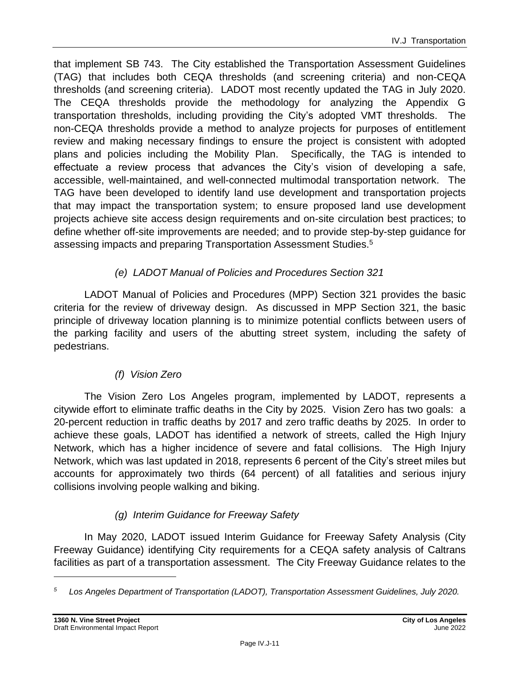that implement SB 743. The City established the Transportation Assessment Guidelines (TAG) that includes both CEQA thresholds (and screening criteria) and non-CEQA thresholds (and screening criteria). LADOT most recently updated the TAG in July 2020. The CEQA thresholds provide the methodology for analyzing the Appendix G transportation thresholds, including providing the City's adopted VMT thresholds. The non-CEQA thresholds provide a method to analyze projects for purposes of entitlement review and making necessary findings to ensure the project is consistent with adopted plans and policies including the Mobility Plan. Specifically, the TAG is intended to effectuate a review process that advances the City's vision of developing a safe, accessible, well-maintained, and well-connected multimodal transportation network. The TAG have been developed to identify land use development and transportation projects that may impact the transportation system; to ensure proposed land use development projects achieve site access design requirements and on-site circulation best practices; to define whether off-site improvements are needed; and to provide step-by-step guidance for assessing impacts and preparing Transportation Assessment Studies.<sup>5</sup>

#### *(e) LADOT Manual of Policies and Procedures Section 321*

LADOT Manual of Policies and Procedures (MPP) Section 321 provides the basic criteria for the review of driveway design. As discussed in MPP Section 321, the basic principle of driveway location planning is to minimize potential conflicts between users of the parking facility and users of the abutting street system, including the safety of pedestrians.

### *(f) Vision Zero*

The Vision Zero Los Angeles program, implemented by LADOT, represents a citywide effort to eliminate traffic deaths in the City by 2025. Vision Zero has two goals: a 20-percent reduction in traffic deaths by 2017 and zero traffic deaths by 2025. In order to achieve these goals, LADOT has identified a network of streets, called the High Injury Network, which has a higher incidence of severe and fatal collisions. The High Injury Network, which was last updated in 2018, represents 6 percent of the City's street miles but accounts for approximately two thirds (64 percent) of all fatalities and serious injury collisions involving people walking and biking.

### *(g) Interim Guidance for Freeway Safety*

In May 2020, LADOT issued Interim Guidance for Freeway Safety Analysis (City Freeway Guidance) identifying City requirements for a CEQA safety analysis of Caltrans facilities as part of a transportation assessment. The City Freeway Guidance relates to the

*<sup>5</sup> Los Angeles Department of Transportation (LADOT), Transportation Assessment Guidelines, July 2020.*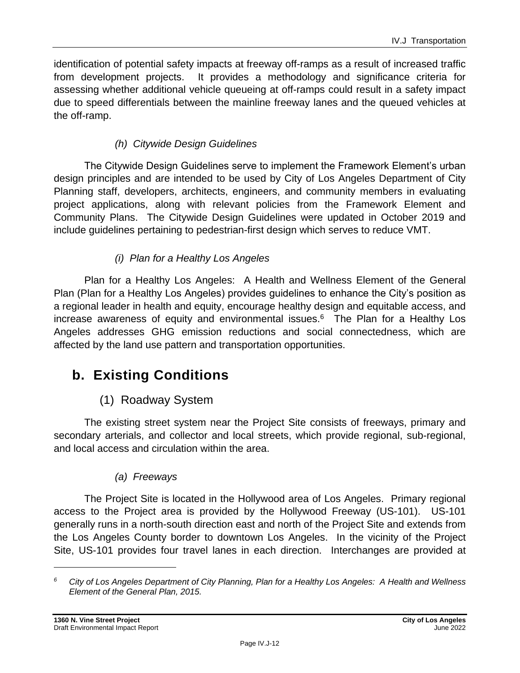identification of potential safety impacts at freeway off-ramps as a result of increased traffic from development projects. It provides a methodology and significance criteria for assessing whether additional vehicle queueing at off-ramps could result in a safety impact due to speed differentials between the mainline freeway lanes and the queued vehicles at the off-ramp.

#### *(h) Citywide Design Guidelines*

The Citywide Design Guidelines serve to implement the Framework Element's urban design principles and are intended to be used by City of Los Angeles Department of City Planning staff, developers, architects, engineers, and community members in evaluating project applications, along with relevant policies from the Framework Element and Community Plans. The Citywide Design Guidelines were updated in October 2019 and include guidelines pertaining to pedestrian-first design which serves to reduce VMT.

#### *(i) Plan for a Healthy Los Angeles*

Plan for a Healthy Los Angeles: A Health and Wellness Element of the General Plan (Plan for a Healthy Los Angeles) provides guidelines to enhance the City's position as a regional leader in health and equity, encourage healthy design and equitable access, and increase awareness of equity and environmental issues.<sup>6</sup> The Plan for a Healthy Los Angeles addresses GHG emission reductions and social connectedness, which are affected by the land use pattern and transportation opportunities.

## **b. Existing Conditions**

## (1) Roadway System

The existing street system near the Project Site consists of freeways, primary and secondary arterials, and collector and local streets, which provide regional, sub-regional, and local access and circulation within the area.

#### *(a) Freeways*

The Project Site is located in the Hollywood area of Los Angeles. Primary regional access to the Project area is provided by the Hollywood Freeway (US-101). US-101 generally runs in a north-south direction east and north of the Project Site and extends from the Los Angeles County border to downtown Los Angeles. In the vicinity of the Project Site, US-101 provides four travel lanes in each direction. Interchanges are provided at

*<sup>6</sup> City of Los Angeles Department of City Planning, Plan for a Healthy Los Angeles: A Health and Wellness Element of the General Plan, 2015.*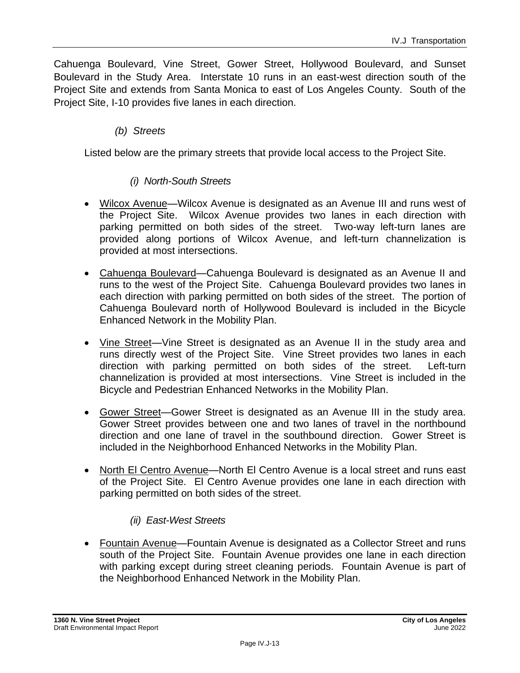Cahuenga Boulevard, Vine Street, Gower Street, Hollywood Boulevard, and Sunset Boulevard in the Study Area. Interstate 10 runs in an east-west direction south of the Project Site and extends from Santa Monica to east of Los Angeles County. South of the Project Site, I-10 provides five lanes in each direction.

#### *(b) Streets*

Listed below are the primary streets that provide local access to the Project Site.

#### *(i) North-South Streets*

- Wilcox Avenue—Wilcox Avenue is designated as an Avenue III and runs west of the Project Site. Wilcox Avenue provides two lanes in each direction with parking permitted on both sides of the street. Two-way left-turn lanes are provided along portions of Wilcox Avenue, and left-turn channelization is provided at most intersections.
- Cahuenga Boulevard—Cahuenga Boulevard is designated as an Avenue II and runs to the west of the Project Site. Cahuenga Boulevard provides two lanes in each direction with parking permitted on both sides of the street. The portion of Cahuenga Boulevard north of Hollywood Boulevard is included in the Bicycle Enhanced Network in the Mobility Plan.
- Vine Street—Vine Street is designated as an Avenue II in the study area and runs directly west of the Project Site. Vine Street provides two lanes in each direction with parking permitted on both sides of the street. Left-turn channelization is provided at most intersections. Vine Street is included in the Bicycle and Pedestrian Enhanced Networks in the Mobility Plan.
- Gower Street—Gower Street is designated as an Avenue III in the study area. Gower Street provides between one and two lanes of travel in the northbound direction and one lane of travel in the southbound direction. Gower Street is included in the Neighborhood Enhanced Networks in the Mobility Plan.
- North El Centro Avenue—North El Centro Avenue is a local street and runs east of the Project Site. El Centro Avenue provides one lane in each direction with parking permitted on both sides of the street.

#### *(ii) East-West Streets*

• Fountain Avenue—Fountain Avenue is designated as a Collector Street and runs south of the Project Site. Fountain Avenue provides one lane in each direction with parking except during street cleaning periods. Fountain Avenue is part of the Neighborhood Enhanced Network in the Mobility Plan.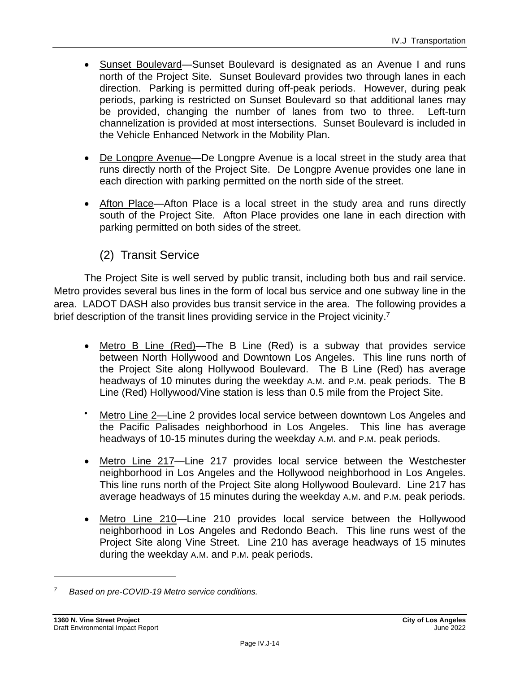- Sunset Boulevard—Sunset Boulevard is designated as an Avenue I and runs north of the Project Site. Sunset Boulevard provides two through lanes in each direction. Parking is permitted during off-peak periods. However, during peak periods, parking is restricted on Sunset Boulevard so that additional lanes may be provided, changing the number of lanes from two to three. Left-turn channelization is provided at most intersections. Sunset Boulevard is included in the Vehicle Enhanced Network in the Mobility Plan.
- De Longpre Avenue—De Longpre Avenue is a local street in the study area that runs directly north of the Project Site. De Longpre Avenue provides one lane in each direction with parking permitted on the north side of the street.
- Afton Place—Afton Place is a local street in the study area and runs directly south of the Project Site. Afton Place provides one lane in each direction with parking permitted on both sides of the street.

## (2) Transit Service

The Project Site is well served by public transit, including both bus and rail service. Metro provides several bus lines in the form of local bus service and one subway line in the area. LADOT DASH also provides bus transit service in the area. The following provides a brief description of the transit lines providing service in the Project vicinity.<sup>7</sup>

- Metro B Line (Red)—The B Line (Red) is a subway that provides service between North Hollywood and Downtown Los Angeles. This line runs north of the Project Site along Hollywood Boulevard. The B Line (Red) has average headways of 10 minutes during the weekday A.M. and P.M. peak periods. The B Line (Red) Hollywood/Vine station is less than 0.5 mile from the Project Site.
- Metro Line 2—Line 2 provides local service between downtown Los Angeles and the Pacific Palisades neighborhood in Los Angeles. This line has average headways of 10-15 minutes during the weekday A.M. and P.M. peak periods.
- Metro Line 217—Line 217 provides local service between the Westchester neighborhood in Los Angeles and the Hollywood neighborhood in Los Angeles. This line runs north of the Project Site along Hollywood Boulevard. Line 217 has average headways of 15 minutes during the weekday A.M. and P.M. peak periods.
- Metro Line 210—Line 210 provides local service between the Hollywood neighborhood in Los Angeles and Redondo Beach. This line runs west of the Project Site along Vine Street. Line 210 has average headways of 15 minutes during the weekday A.M. and P.M. peak periods.

*<sup>7</sup> Based on pre-COVID-19 Metro service conditions.*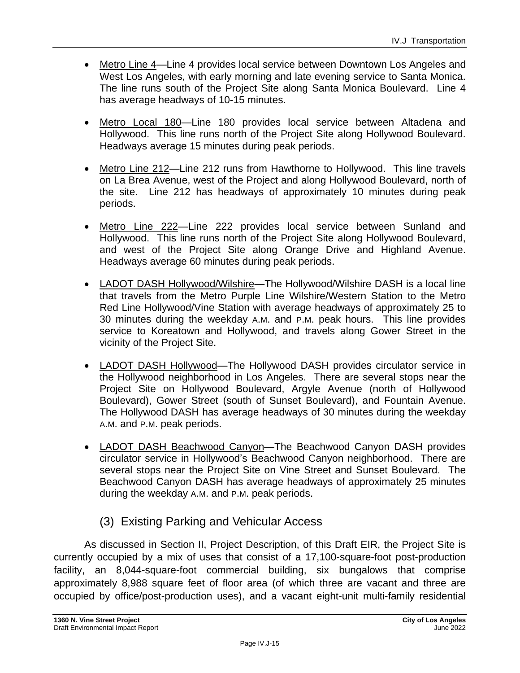- Metro Line 4—Line 4 provides local service between Downtown Los Angeles and West Los Angeles, with early morning and late evening service to Santa Monica. The line runs south of the Project Site along Santa Monica Boulevard. Line 4 has average headways of 10-15 minutes.
- Metro Local 180—Line 180 provides local service between Altadena and Hollywood. This line runs north of the Project Site along Hollywood Boulevard. Headways average 15 minutes during peak periods.
- Metro Line 212—Line 212 runs from Hawthorne to Hollywood. This line travels on La Brea Avenue, west of the Project and along Hollywood Boulevard, north of the site. Line 212 has headways of approximately 10 minutes during peak periods.
- Metro Line 222—Line 222 provides local service between Sunland and Hollywood. This line runs north of the Project Site along Hollywood Boulevard, and west of the Project Site along Orange Drive and Highland Avenue. Headways average 60 minutes during peak periods.
- LADOT DASH Hollywood/Wilshire—The Hollywood/Wilshire DASH is a local line that travels from the Metro Purple Line Wilshire/Western Station to the Metro Red Line Hollywood/Vine Station with average headways of approximately 25 to 30 minutes during the weekday A.M. and P.M. peak hours. This line provides service to Koreatown and Hollywood, and travels along Gower Street in the vicinity of the Project Site.
- LADOT DASH Hollywood—The Hollywood DASH provides circulator service in the Hollywood neighborhood in Los Angeles. There are several stops near the Project Site on Hollywood Boulevard, Argyle Avenue (north of Hollywood Boulevard), Gower Street (south of Sunset Boulevard), and Fountain Avenue. The Hollywood DASH has average headways of 30 minutes during the weekday A.M. and P.M. peak periods.
- LADOT DASH Beachwood Canyon-The Beachwood Canyon DASH provides circulator service in Hollywood's Beachwood Canyon neighborhood. There are several stops near the Project Site on Vine Street and Sunset Boulevard. The Beachwood Canyon DASH has average headways of approximately 25 minutes during the weekday A.M. and P.M. peak periods.
	- (3) Existing Parking and Vehicular Access

As discussed in Section II, Project Description, of this Draft EIR, the Project Site is currently occupied by a mix of uses that consist of a 17,100-square-foot post-production facility, an 8,044-square-foot commercial building, six bungalows that comprise approximately 8,988 square feet of floor area (of which three are vacant and three are occupied by office/post-production uses), and a vacant eight-unit multi-family residential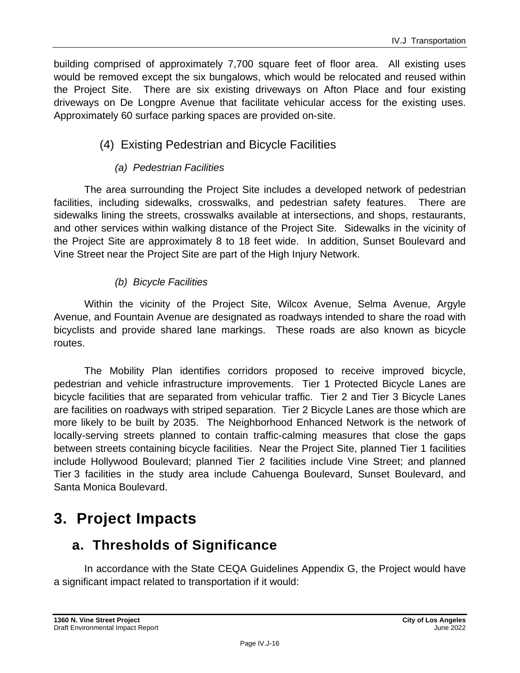building comprised of approximately 7,700 square feet of floor area. All existing uses would be removed except the six bungalows, which would be relocated and reused within the Project Site. There are six existing driveways on Afton Place and four existing driveways on De Longpre Avenue that facilitate vehicular access for the existing uses. Approximately 60 surface parking spaces are provided on-site.

## (4) Existing Pedestrian and Bicycle Facilities

#### *(a) Pedestrian Facilities*

The area surrounding the Project Site includes a developed network of pedestrian facilities, including sidewalks, crosswalks, and pedestrian safety features. There are sidewalks lining the streets, crosswalks available at intersections, and shops, restaurants, and other services within walking distance of the Project Site. Sidewalks in the vicinity of the Project Site are approximately 8 to 18 feet wide. In addition, Sunset Boulevard and Vine Street near the Project Site are part of the High Injury Network.

#### *(b) Bicycle Facilities*

Within the vicinity of the Project Site, Wilcox Avenue, Selma Avenue, Argyle Avenue, and Fountain Avenue are designated as roadways intended to share the road with bicyclists and provide shared lane markings. These roads are also known as bicycle routes.

The Mobility Plan identifies corridors proposed to receive improved bicycle, pedestrian and vehicle infrastructure improvements. Tier 1 Protected Bicycle Lanes are bicycle facilities that are separated from vehicular traffic. Tier 2 and Tier 3 Bicycle Lanes are facilities on roadways with striped separation. Tier 2 Bicycle Lanes are those which are more likely to be built by 2035. The Neighborhood Enhanced Network is the network of locally-serving streets planned to contain traffic-calming measures that close the gaps between streets containing bicycle facilities. Near the Project Site, planned Tier 1 facilities include Hollywood Boulevard; planned Tier 2 facilities include Vine Street; and planned Tier 3 facilities in the study area include Cahuenga Boulevard, Sunset Boulevard, and Santa Monica Boulevard.

## **3. Project Impacts**

## **a. Thresholds of Significance**

In accordance with the State CEQA Guidelines Appendix G, the Project would have a significant impact related to transportation if it would: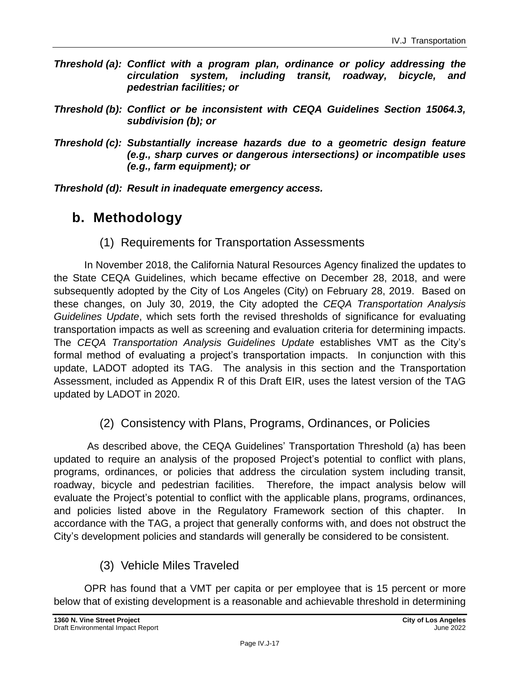- *Threshold (a): Conflict with a program plan, ordinance or policy addressing the circulation system, including transit, roadway, bicycle, and pedestrian facilities; or*
- *Threshold (b): Conflict or be inconsistent with CEQA Guidelines Section 15064.3, subdivision (b); or*
- *Threshold (c): Substantially increase hazards due to a geometric design feature (e.g., sharp curves or dangerous intersections) or incompatible uses (e.g., farm equipment); or*

*Threshold (d): Result in inadequate emergency access.*

## **b. Methodology**

(1) Requirements for Transportation Assessments

In November 2018, the California Natural Resources Agency finalized the updates to the State CEQA Guidelines, which became effective on December 28, 2018, and were subsequently adopted by the City of Los Angeles (City) on February 28, 2019. Based on these changes, on July 30, 2019, the City adopted the *CEQA Transportation Analysis Guidelines Update*, which sets forth the revised thresholds of significance for evaluating transportation impacts as well as screening and evaluation criteria for determining impacts. The *CEQA Transportation Analysis Guidelines Update* establishes VMT as the City's formal method of evaluating a project's transportation impacts. In conjunction with this update, LADOT adopted its TAG. The analysis in this section and the Transportation Assessment, included as Appendix R of this Draft EIR, uses the latest version of the TAG updated by LADOT in 2020.

(2) Consistency with Plans, Programs, Ordinances, or Policies

As described above, the CEQA Guidelines' Transportation Threshold (a) has been updated to require an analysis of the proposed Project's potential to conflict with plans, programs, ordinances, or policies that address the circulation system including transit, roadway, bicycle and pedestrian facilities. Therefore, the impact analysis below will evaluate the Project's potential to conflict with the applicable plans, programs, ordinances, and policies listed above in the Regulatory Framework section of this chapter. In accordance with the TAG, a project that generally conforms with, and does not obstruct the City's development policies and standards will generally be considered to be consistent.

### (3) Vehicle Miles Traveled

OPR has found that a VMT per capita or per employee that is 15 percent or more below that of existing development is a reasonable and achievable threshold in determining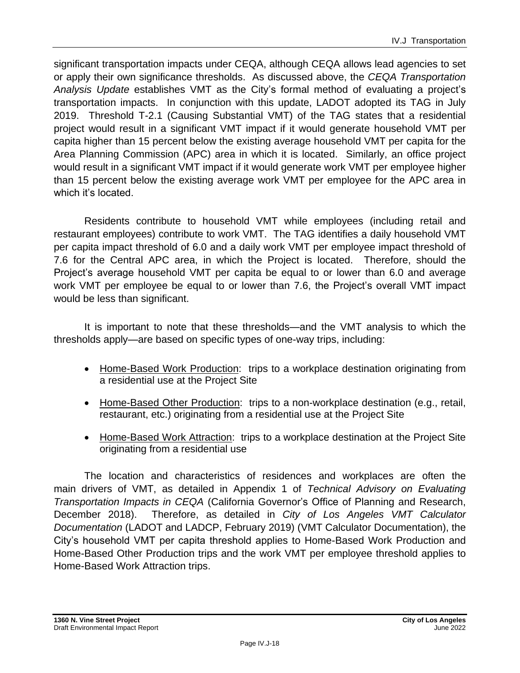significant transportation impacts under CEQA, although CEQA allows lead agencies to set or apply their own significance thresholds. As discussed above, the *CEQA Transportation Analysis Update* establishes VMT as the City's formal method of evaluating a project's transportation impacts. In conjunction with this update, LADOT adopted its TAG in July 2019. Threshold T-2.1 (Causing Substantial VMT) of the TAG states that a residential project would result in a significant VMT impact if it would generate household VMT per capita higher than 15 percent below the existing average household VMT per capita for the Area Planning Commission (APC) area in which it is located. Similarly, an office project would result in a significant VMT impact if it would generate work VMT per employee higher than 15 percent below the existing average work VMT per employee for the APC area in which it's located.

Residents contribute to household VMT while employees (including retail and restaurant employees) contribute to work VMT. The TAG identifies a daily household VMT per capita impact threshold of 6.0 and a daily work VMT per employee impact threshold of 7.6 for the Central APC area, in which the Project is located. Therefore, should the Project's average household VMT per capita be equal to or lower than 6.0 and average work VMT per employee be equal to or lower than 7.6, the Project's overall VMT impact would be less than significant.

It is important to note that these thresholds—and the VMT analysis to which the thresholds apply—are based on specific types of one-way trips, including:

- Home-Based Work Production: trips to a workplace destination originating from a residential use at the Project Site
- Home-Based Other Production: trips to a non-workplace destination (e.g., retail, restaurant, etc.) originating from a residential use at the Project Site
- Home-Based Work Attraction: trips to a workplace destination at the Project Site originating from a residential use

The location and characteristics of residences and workplaces are often the main drivers of VMT, as detailed in Appendix 1 of *Technical Advisory on Evaluating Transportation Impacts in CEQA* (California Governor's Office of Planning and Research, December 2018). Therefore, as detailed in *City of Los Angeles VMT Calculator Documentation* (LADOT and LADCP, February 2019) (VMT Calculator Documentation), the City's household VMT per capita threshold applies to Home-Based Work Production and Home-Based Other Production trips and the work VMT per employee threshold applies to Home-Based Work Attraction trips.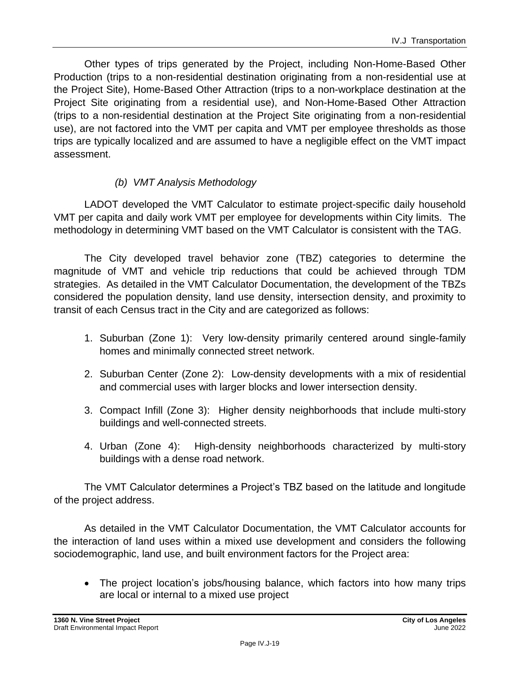Other types of trips generated by the Project, including Non-Home-Based Other Production (trips to a non-residential destination originating from a non-residential use at the Project Site), Home-Based Other Attraction (trips to a non-workplace destination at the Project Site originating from a residential use), and Non-Home-Based Other Attraction (trips to a non-residential destination at the Project Site originating from a non-residential use), are not factored into the VMT per capita and VMT per employee thresholds as those trips are typically localized and are assumed to have a negligible effect on the VMT impact assessment.

#### *(b) VMT Analysis Methodology*

LADOT developed the VMT Calculator to estimate project-specific daily household VMT per capita and daily work VMT per employee for developments within City limits. The methodology in determining VMT based on the VMT Calculator is consistent with the TAG.

The City developed travel behavior zone (TBZ) categories to determine the magnitude of VMT and vehicle trip reductions that could be achieved through TDM strategies. As detailed in the VMT Calculator Documentation, the development of the TBZs considered the population density, land use density, intersection density, and proximity to transit of each Census tract in the City and are categorized as follows:

- 1. Suburban (Zone 1): Very low-density primarily centered around single-family homes and minimally connected street network.
- 2. Suburban Center (Zone 2): Low-density developments with a mix of residential and commercial uses with larger blocks and lower intersection density.
- 3. Compact Infill (Zone 3): Higher density neighborhoods that include multi-story buildings and well-connected streets.
- 4. Urban (Zone 4): High-density neighborhoods characterized by multi-story buildings with a dense road network.

The VMT Calculator determines a Project's TBZ based on the latitude and longitude of the project address.

As detailed in the VMT Calculator Documentation, the VMT Calculator accounts for the interaction of land uses within a mixed use development and considers the following sociodemographic, land use, and built environment factors for the Project area:

• The project location's jobs/housing balance, which factors into how many trips are local or internal to a mixed use project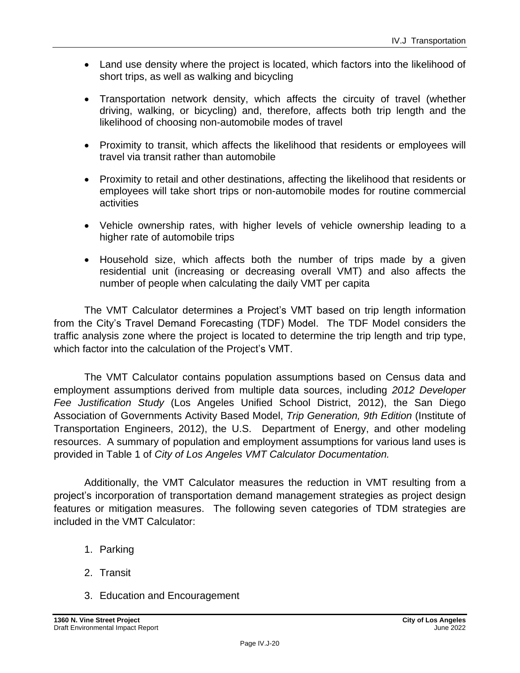- Land use density where the project is located, which factors into the likelihood of short trips, as well as walking and bicycling
- Transportation network density, which affects the circuity of travel (whether driving, walking, or bicycling) and, therefore, affects both trip length and the likelihood of choosing non-automobile modes of travel
- Proximity to transit, which affects the likelihood that residents or employees will travel via transit rather than automobile
- Proximity to retail and other destinations, affecting the likelihood that residents or employees will take short trips or non-automobile modes for routine commercial activities
- Vehicle ownership rates, with higher levels of vehicle ownership leading to a higher rate of automobile trips
- Household size, which affects both the number of trips made by a given residential unit (increasing or decreasing overall VMT) and also affects the number of people when calculating the daily VMT per capita

The VMT Calculator determines a Project's VMT based on trip length information from the City's Travel Demand Forecasting (TDF) Model. The TDF Model considers the traffic analysis zone where the project is located to determine the trip length and trip type, which factor into the calculation of the Project's VMT.

The VMT Calculator contains population assumptions based on Census data and employment assumptions derived from multiple data sources, including *2012 Developer Fee Justification Study* (Los Angeles Unified School District, 2012), the San Diego Association of Governments Activity Based Model, *Trip Generation, 9th Edition* (Institute of Transportation Engineers, 2012), the U.S. Department of Energy, and other modeling resources. A summary of population and employment assumptions for various land uses is provided in Table 1 of *City of Los Angeles VMT Calculator Documentation.*

Additionally, the VMT Calculator measures the reduction in VMT resulting from a project's incorporation of transportation demand management strategies as project design features or mitigation measures. The following seven categories of TDM strategies are included in the VMT Calculator:

- 1. Parking
- 2. Transit
- 3. Education and Encouragement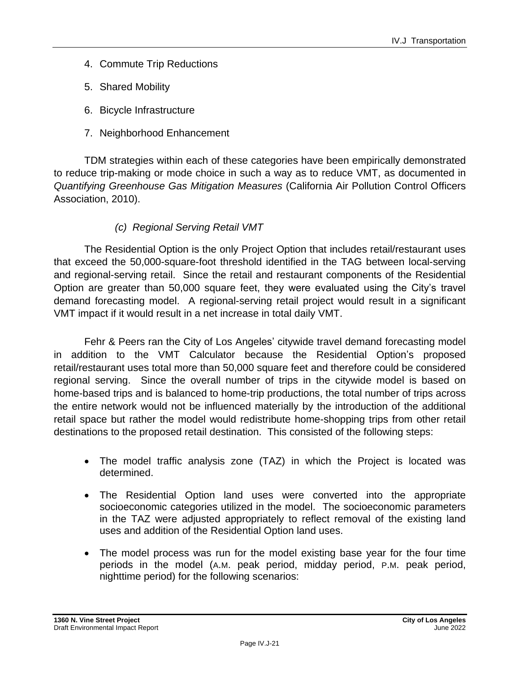- 4. Commute Trip Reductions
- 5. Shared Mobility
- 6. Bicycle Infrastructure
- 7. Neighborhood Enhancement

TDM strategies within each of these categories have been empirically demonstrated to reduce trip-making or mode choice in such a way as to reduce VMT, as documented in *Quantifying Greenhouse Gas Mitigation Measures* (California Air Pollution Control Officers Association, 2010).

#### *(c) Regional Serving Retail VMT*

The Residential Option is the only Project Option that includes retail/restaurant uses that exceed the 50,000-square-foot threshold identified in the TAG between local-serving and regional-serving retail. Since the retail and restaurant components of the Residential Option are greater than 50,000 square feet, they were evaluated using the City's travel demand forecasting model. A regional-serving retail project would result in a significant VMT impact if it would result in a net increase in total daily VMT.

Fehr & Peers ran the City of Los Angeles' citywide travel demand forecasting model in addition to the VMT Calculator because the Residential Option's proposed retail/restaurant uses total more than 50,000 square feet and therefore could be considered regional serving. Since the overall number of trips in the citywide model is based on home-based trips and is balanced to home-trip productions, the total number of trips across the entire network would not be influenced materially by the introduction of the additional retail space but rather the model would redistribute home-shopping trips from other retail destinations to the proposed retail destination. This consisted of the following steps:

- The model traffic analysis zone (TAZ) in which the Project is located was determined.
- The Residential Option land uses were converted into the appropriate socioeconomic categories utilized in the model. The socioeconomic parameters in the TAZ were adjusted appropriately to reflect removal of the existing land uses and addition of the Residential Option land uses.
- The model process was run for the model existing base year for the four time periods in the model (A.M. peak period, midday period, P.M. peak period, nighttime period) for the following scenarios: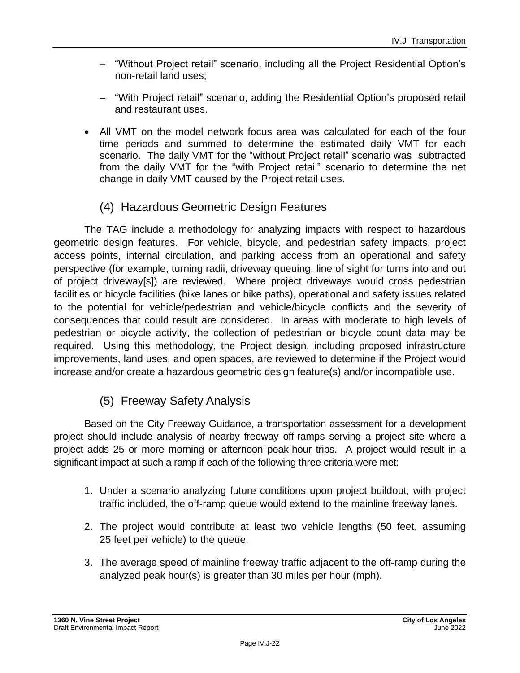- "Without Project retail" scenario, including all the Project Residential Option's non-retail land uses;
- "With Project retail" scenario, adding the Residential Option's proposed retail and restaurant uses.
- All VMT on the model network focus area was calculated for each of the four time periods and summed to determine the estimated daily VMT for each scenario. The daily VMT for the "without Project retail" scenario was subtracted from the daily VMT for the "with Project retail" scenario to determine the net change in daily VMT caused by the Project retail uses.

## (4) Hazardous Geometric Design Features

The TAG include a methodology for analyzing impacts with respect to hazardous geometric design features. For vehicle, bicycle, and pedestrian safety impacts, project access points, internal circulation, and parking access from an operational and safety perspective (for example, turning radii, driveway queuing, line of sight for turns into and out of project driveway[s]) are reviewed. Where project driveways would cross pedestrian facilities or bicycle facilities (bike lanes or bike paths), operational and safety issues related to the potential for vehicle/pedestrian and vehicle/bicycle conflicts and the severity of consequences that could result are considered. In areas with moderate to high levels of pedestrian or bicycle activity, the collection of pedestrian or bicycle count data may be required. Using this methodology, the Project design, including proposed infrastructure improvements, land uses, and open spaces, are reviewed to determine if the Project would increase and/or create a hazardous geometric design feature(s) and/or incompatible use.

## (5) Freeway Safety Analysis

Based on the City Freeway Guidance, a transportation assessment for a development project should include analysis of nearby freeway off-ramps serving a project site where a project adds 25 or more morning or afternoon peak-hour trips. A project would result in a significant impact at such a ramp if each of the following three criteria were met:

- 1. Under a scenario analyzing future conditions upon project buildout, with project traffic included, the off-ramp queue would extend to the mainline freeway lanes.
- 2. The project would contribute at least two vehicle lengths (50 feet, assuming 25 feet per vehicle) to the queue.
- 3. The average speed of mainline freeway traffic adjacent to the off-ramp during the analyzed peak hour(s) is greater than 30 miles per hour (mph).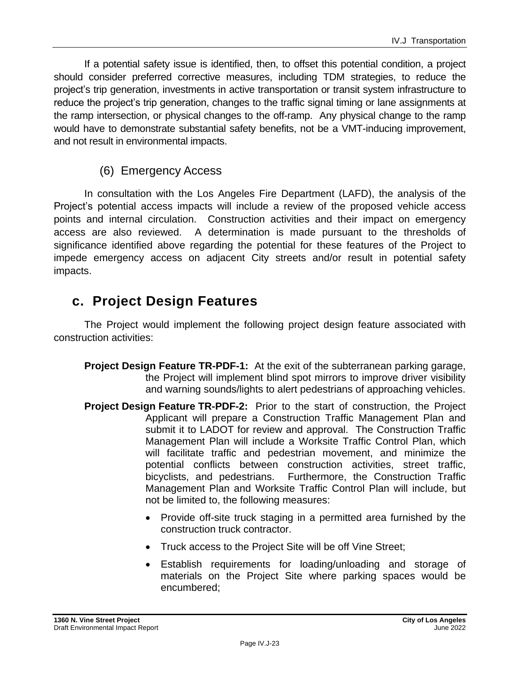If a potential safety issue is identified, then, to offset this potential condition, a project should consider preferred corrective measures, including TDM strategies, to reduce the project's trip generation, investments in active transportation or transit system infrastructure to reduce the project's trip generation, changes to the traffic signal timing or lane assignments at the ramp intersection, or physical changes to the off-ramp. Any physical change to the ramp would have to demonstrate substantial safety benefits, not be a VMT-inducing improvement, and not result in environmental impacts.

#### (6) Emergency Access

In consultation with the Los Angeles Fire Department (LAFD), the analysis of the Project's potential access impacts will include a review of the proposed vehicle access points and internal circulation. Construction activities and their impact on emergency access are also reviewed. A determination is made pursuant to the thresholds of significance identified above regarding the potential for these features of the Project to impede emergency access on adjacent City streets and/or result in potential safety impacts.

## **c. Project Design Features**

The Project would implement the following project design feature associated with construction activities:

- **Project Design Feature TR-PDF-1:** At the exit of the subterranean parking garage, the Project will implement blind spot mirrors to improve driver visibility and warning sounds/lights to alert pedestrians of approaching vehicles.
- **Project Design Feature TR-PDF-2:** Prior to the start of construction, the Project Applicant will prepare a Construction Traffic Management Plan and submit it to LADOT for review and approval. The Construction Traffic Management Plan will include a Worksite Traffic Control Plan, which will facilitate traffic and pedestrian movement, and minimize the potential conflicts between construction activities, street traffic, bicyclists, and pedestrians. Furthermore, the Construction Traffic Management Plan and Worksite Traffic Control Plan will include, but not be limited to, the following measures:
	- Provide off-site truck staging in a permitted area furnished by the construction truck contractor.
	- Truck access to the Project Site will be off Vine Street;
	- Establish requirements for loading/unloading and storage of materials on the Project Site where parking spaces would be encumbered;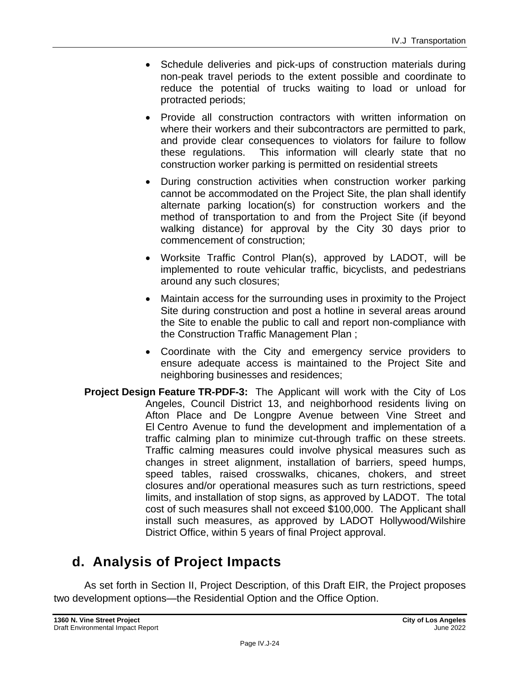- Schedule deliveries and pick-ups of construction materials during non-peak travel periods to the extent possible and coordinate to reduce the potential of trucks waiting to load or unload for protracted periods;
- Provide all construction contractors with written information on where their workers and their subcontractors are permitted to park, and provide clear consequences to violators for failure to follow these regulations. This information will clearly state that no construction worker parking is permitted on residential streets
- During construction activities when construction worker parking cannot be accommodated on the Project Site, the plan shall identify alternate parking location(s) for construction workers and the method of transportation to and from the Project Site (if beyond walking distance) for approval by the City 30 days prior to commencement of construction;
- Worksite Traffic Control Plan(s), approved by LADOT, will be implemented to route vehicular traffic, bicyclists, and pedestrians around any such closures;
- Maintain access for the surrounding uses in proximity to the Project Site during construction and post a hotline in several areas around the Site to enable the public to call and report non-compliance with the Construction Traffic Management Plan ;
- Coordinate with the City and emergency service providers to ensure adequate access is maintained to the Project Site and neighboring businesses and residences;
- **Project Design Feature TR-PDF-3:** The Applicant will work with the City of Los Angeles, Council District 13, and neighborhood residents living on Afton Place and De Longpre Avenue between Vine Street and El Centro Avenue to fund the development and implementation of a traffic calming plan to minimize cut-through traffic on these streets. Traffic calming measures could involve physical measures such as changes in street alignment, installation of barriers, speed humps, speed tables, raised crosswalks, chicanes, chokers, and street closures and/or operational measures such as turn restrictions, speed limits, and installation of stop signs, as approved by LADOT. The total cost of such measures shall not exceed \$100,000. The Applicant shall install such measures, as approved by LADOT Hollywood/Wilshire District Office, within 5 years of final Project approval.

## **d. Analysis of Project Impacts**

As set forth in Section II, Project Description, of this Draft EIR, the Project proposes two development options—the Residential Option and the Office Option.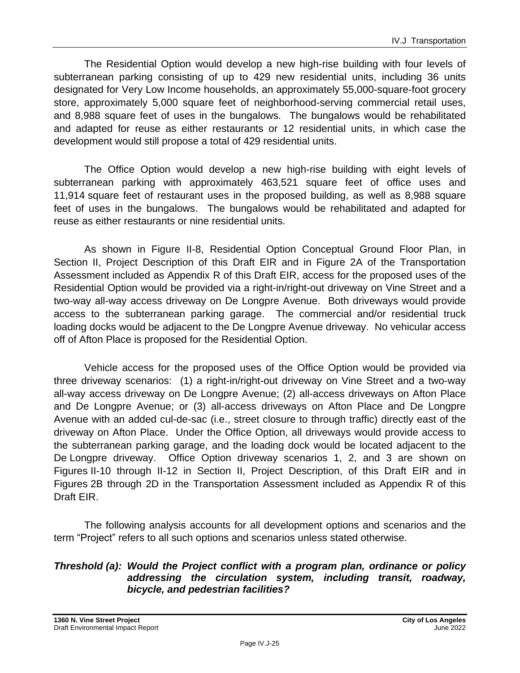The Residential Option would develop a new high-rise building with four levels of subterranean parking consisting of up to 429 new residential units, including 36 units designated for Very Low Income households, an approximately 55,000-square-foot grocery store, approximately 5,000 square feet of neighborhood-serving commercial retail uses, and 8,988 square feet of uses in the bungalows. The bungalows would be rehabilitated and adapted for reuse as either restaurants or 12 residential units, in which case the development would still propose a total of 429 residential units.

The Office Option would develop a new high-rise building with eight levels of subterranean parking with approximately 463,521 square feet of office uses and 11,914 square feet of restaurant uses in the proposed building, as well as 8,988 square feet of uses in the bungalows. The bungalows would be rehabilitated and adapted for reuse as either restaurants or nine residential units.

As shown in Figure II-8, Residential Option Conceptual Ground Floor Plan, in Section II, Project Description of this Draft EIR and in Figure 2A of the Transportation Assessment included as Appendix R of this Draft EIR, access for the proposed uses of the Residential Option would be provided via a right-in/right-out driveway on Vine Street and a two-way all-way access driveway on De Longpre Avenue. Both driveways would provide access to the subterranean parking garage. The commercial and/or residential truck loading docks would be adjacent to the De Longpre Avenue driveway. No vehicular access off of Afton Place is proposed for the Residential Option.

Vehicle access for the proposed uses of the Office Option would be provided via three driveway scenarios: (1) a right-in/right-out driveway on Vine Street and a two-way all-way access driveway on De Longpre Avenue; (2) all-access driveways on Afton Place and De Longpre Avenue; or (3) all-access driveways on Afton Place and De Longpre Avenue with an added cul-de-sac (i.e., street closure to through traffic) directly east of the driveway on Afton Place. Under the Office Option, all driveways would provide access to the subterranean parking garage, and the loading dock would be located adjacent to the De Longpre driveway. Office Option driveway scenarios 1, 2, and 3 are shown on Figures II-10 through II-12 in Section II, Project Description, of this Draft EIR and in Figures 2B through 2D in the Transportation Assessment included as Appendix R of this Draft EIR.

The following analysis accounts for all development options and scenarios and the term "Project" refers to all such options and scenarios unless stated otherwise.

#### *Threshold (a): Would the Project conflict with a program plan, ordinance or policy addressing the circulation system, including transit, roadway, bicycle, and pedestrian facilities?*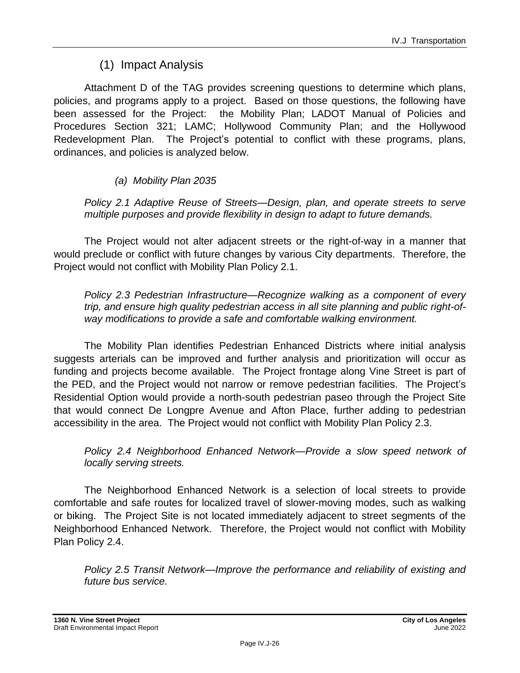## (1) Impact Analysis

Attachment D of the TAG provides screening questions to determine which plans, policies, and programs apply to a project. Based on those questions, the following have been assessed for the Project: the Mobility Plan; LADOT Manual of Policies and Procedures Section 321; LAMC; Hollywood Community Plan; and the Hollywood Redevelopment Plan. The Project's potential to conflict with these programs, plans, ordinances, and policies is analyzed below.

#### *(a) Mobility Plan 2035*

*Policy 2.1 Adaptive Reuse of Streets—Design, plan, and operate streets to serve multiple purposes and provide flexibility in design to adapt to future demands.*

The Project would not alter adjacent streets or the right-of-way in a manner that would preclude or conflict with future changes by various City departments. Therefore, the Project would not conflict with Mobility Plan Policy 2.1.

*Policy 2.3 Pedestrian Infrastructure—Recognize walking as a component of every trip, and ensure high quality pedestrian access in all site planning and public right-ofway modifications to provide a safe and comfortable walking environment.*

The Mobility Plan identifies Pedestrian Enhanced Districts where initial analysis suggests arterials can be improved and further analysis and prioritization will occur as funding and projects become available. The Project frontage along Vine Street is part of the PED, and the Project would not narrow or remove pedestrian facilities. The Project's Residential Option would provide a north-south pedestrian paseo through the Project Site that would connect De Longpre Avenue and Afton Place, further adding to pedestrian accessibility in the area. The Project would not conflict with Mobility Plan Policy 2.3.

*Policy 2.4 Neighborhood Enhanced Network—Provide a slow speed network of locally serving streets.*

The Neighborhood Enhanced Network is a selection of local streets to provide comfortable and safe routes for localized travel of slower-moving modes, such as walking or biking. The Project Site is not located immediately adjacent to street segments of the Neighborhood Enhanced Network. Therefore, the Project would not conflict with Mobility Plan Policy 2.4.

*Policy 2.5 Transit Network—Improve the performance and reliability of existing and future bus service.*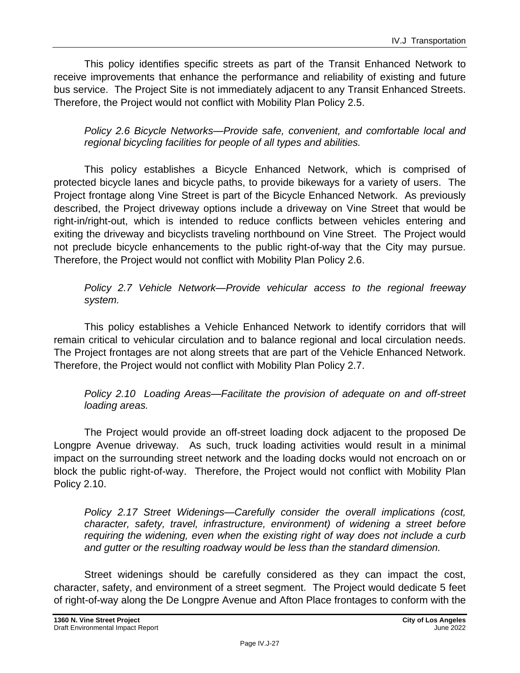This policy identifies specific streets as part of the Transit Enhanced Network to receive improvements that enhance the performance and reliability of existing and future bus service. The Project Site is not immediately adjacent to any Transit Enhanced Streets. Therefore, the Project would not conflict with Mobility Plan Policy 2.5.

*Policy 2.6 Bicycle Networks—Provide safe, convenient, and comfortable local and regional bicycling facilities for people of all types and abilities.*

This policy establishes a Bicycle Enhanced Network, which is comprised of protected bicycle lanes and bicycle paths, to provide bikeways for a variety of users. The Project frontage along Vine Street is part of the Bicycle Enhanced Network. As previously described, the Project driveway options include a driveway on Vine Street that would be right-in/right-out, which is intended to reduce conflicts between vehicles entering and exiting the driveway and bicyclists traveling northbound on Vine Street. The Project would not preclude bicycle enhancements to the public right-of-way that the City may pursue. Therefore, the Project would not conflict with Mobility Plan Policy 2.6.

#### *Policy 2.7 Vehicle Network—Provide vehicular access to the regional freeway system.*

This policy establishes a Vehicle Enhanced Network to identify corridors that will remain critical to vehicular circulation and to balance regional and local circulation needs. The Project frontages are not along streets that are part of the Vehicle Enhanced Network. Therefore, the Project would not conflict with Mobility Plan Policy 2.7.

*Policy 2.10 Loading Areas—Facilitate the provision of adequate on and off-street loading areas.*

The Project would provide an off-street loading dock adjacent to the proposed De Longpre Avenue driveway. As such, truck loading activities would result in a minimal impact on the surrounding street network and the loading docks would not encroach on or block the public right-of-way. Therefore, the Project would not conflict with Mobility Plan Policy 2.10.

*Policy 2.17 Street Widenings—Carefully consider the overall implications (cost, character, safety, travel, infrastructure, environment) of widening a street before requiring the widening, even when the existing right of way does not include a curb and gutter or the resulting roadway would be less than the standard dimension.*

Street widenings should be carefully considered as they can impact the cost, character, safety, and environment of a street segment. The Project would dedicate 5 feet of right-of-way along the De Longpre Avenue and Afton Place frontages to conform with the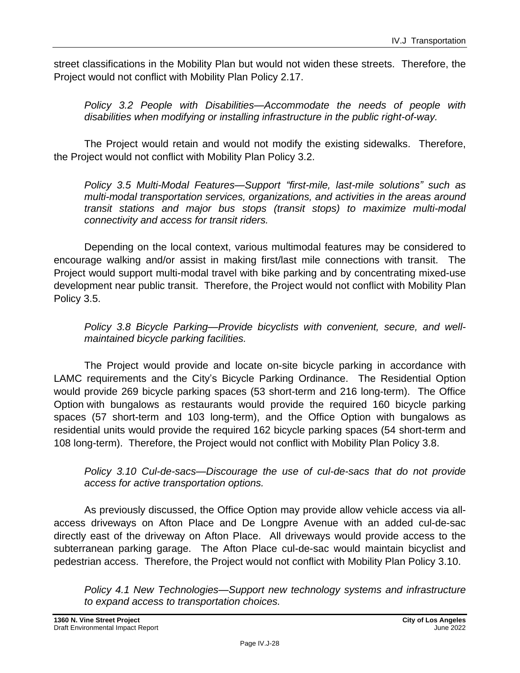street classifications in the Mobility Plan but would not widen these streets. Therefore, the Project would not conflict with Mobility Plan Policy 2.17.

*Policy 3.2 People with Disabilities—Accommodate the needs of people with disabilities when modifying or installing infrastructure in the public right-of-way.*

The Project would retain and would not modify the existing sidewalks. Therefore, the Project would not conflict with Mobility Plan Policy 3.2.

*Policy 3.5 Multi-Modal Features—Support "first-mile, last-mile solutions" such as multi-modal transportation services, organizations, and activities in the areas around transit stations and major bus stops (transit stops) to maximize multi-modal connectivity and access for transit riders.*

Depending on the local context, various multimodal features may be considered to encourage walking and/or assist in making first/last mile connections with transit. The Project would support multi-modal travel with bike parking and by concentrating mixed-use development near public transit. Therefore, the Project would not conflict with Mobility Plan Policy 3.5.

*Policy 3.8 Bicycle Parking—Provide bicyclists with convenient, secure, and wellmaintained bicycle parking facilities.*

The Project would provide and locate on-site bicycle parking in accordance with LAMC requirements and the City's Bicycle Parking Ordinance. The Residential Option would provide 269 bicycle parking spaces (53 short-term and 216 long-term). The Office Option with bungalows as restaurants would provide the required 160 bicycle parking spaces (57 short-term and 103 long-term), and the Office Option with bungalows as residential units would provide the required 162 bicycle parking spaces (54 short-term and 108 long-term). Therefore, the Project would not conflict with Mobility Plan Policy 3.8.

*Policy 3.10 Cul-de-sacs—Discourage the use of cul-de-sacs that do not provide access for active transportation options.*

As previously discussed, the Office Option may provide allow vehicle access via allaccess driveways on Afton Place and De Longpre Avenue with an added cul-de-sac directly east of the driveway on Afton Place. All driveways would provide access to the subterranean parking garage. The Afton Place cul-de-sac would maintain bicyclist and pedestrian access. Therefore, the Project would not conflict with Mobility Plan Policy 3.10.

*Policy 4.1 New Technologies—Support new technology systems and infrastructure to expand access to transportation choices.*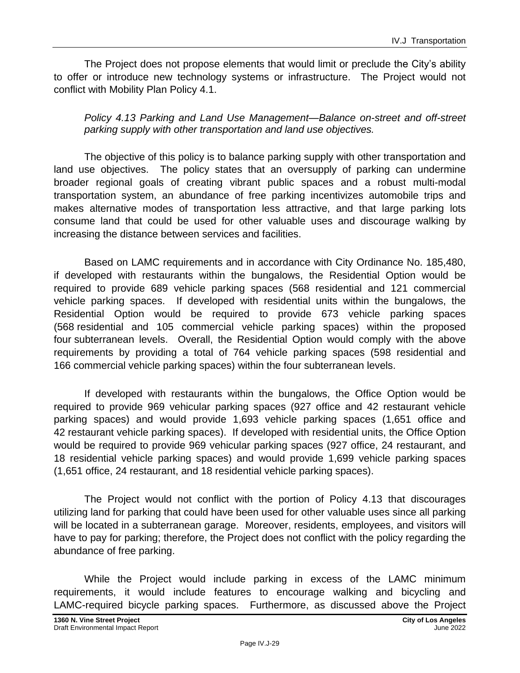The Project does not propose elements that would limit or preclude the City's ability to offer or introduce new technology systems or infrastructure. The Project would not conflict with Mobility Plan Policy 4.1.

*Policy 4.13 Parking and Land Use Management—Balance on-street and off-street parking supply with other transportation and land use objectives.*

The objective of this policy is to balance parking supply with other transportation and land use objectives. The policy states that an oversupply of parking can undermine broader regional goals of creating vibrant public spaces and a robust multi-modal transportation system, an abundance of free parking incentivizes automobile trips and makes alternative modes of transportation less attractive, and that large parking lots consume land that could be used for other valuable uses and discourage walking by increasing the distance between services and facilities.

Based on LAMC requirements and in accordance with City Ordinance No. 185,480, if developed with restaurants within the bungalows, the Residential Option would be required to provide 689 vehicle parking spaces (568 residential and 121 commercial vehicle parking spaces. If developed with residential units within the bungalows, the Residential Option would be required to provide 673 vehicle parking spaces (568 residential and 105 commercial vehicle parking spaces) within the proposed four subterranean levels. Overall, the Residential Option would comply with the above requirements by providing a total of 764 vehicle parking spaces (598 residential and 166 commercial vehicle parking spaces) within the four subterranean levels.

If developed with restaurants within the bungalows, the Office Option would be required to provide 969 vehicular parking spaces (927 office and 42 restaurant vehicle parking spaces) and would provide 1,693 vehicle parking spaces (1,651 office and 42 restaurant vehicle parking spaces). If developed with residential units, the Office Option would be required to provide 969 vehicular parking spaces (927 office, 24 restaurant, and 18 residential vehicle parking spaces) and would provide 1,699 vehicle parking spaces (1,651 office, 24 restaurant, and 18 residential vehicle parking spaces).

The Project would not conflict with the portion of Policy 4.13 that discourages utilizing land for parking that could have been used for other valuable uses since all parking will be located in a subterranean garage. Moreover, residents, employees, and visitors will have to pay for parking; therefore, the Project does not conflict with the policy regarding the abundance of free parking.

While the Project would include parking in excess of the LAMC minimum requirements, it would include features to encourage walking and bicycling and LAMC-required bicycle parking spaces. Furthermore, as discussed above the Project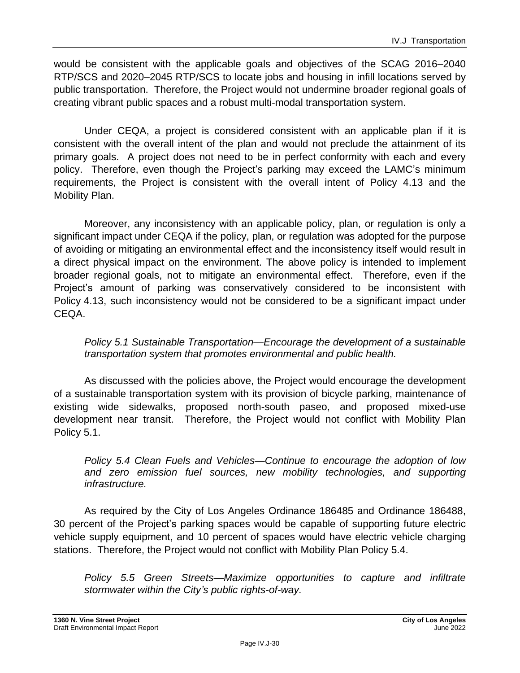would be consistent with the applicable goals and objectives of the SCAG 2016–2040 RTP/SCS and 2020–2045 RTP/SCS to locate jobs and housing in infill locations served by public transportation. Therefore, the Project would not undermine broader regional goals of creating vibrant public spaces and a robust multi-modal transportation system.

Under CEQA, a project is considered consistent with an applicable plan if it is consistent with the overall intent of the plan and would not preclude the attainment of its primary goals. A project does not need to be in perfect conformity with each and every policy. Therefore, even though the Project's parking may exceed the LAMC's minimum requirements, the Project is consistent with the overall intent of Policy 4.13 and the Mobility Plan.

Moreover, any inconsistency with an applicable policy, plan, or regulation is only a significant impact under CEQA if the policy, plan, or regulation was adopted for the purpose of avoiding or mitigating an environmental effect and the inconsistency itself would result in a direct physical impact on the environment. The above policy is intended to implement broader regional goals, not to mitigate an environmental effect. Therefore, even if the Project's amount of parking was conservatively considered to be inconsistent with Policy 4.13, such inconsistency would not be considered to be a significant impact under CEQA.

*Policy 5.1 Sustainable Transportation—Encourage the development of a sustainable transportation system that promotes environmental and public health.*

As discussed with the policies above, the Project would encourage the development of a sustainable transportation system with its provision of bicycle parking, maintenance of existing wide sidewalks, proposed north-south paseo, and proposed mixed-use development near transit. Therefore, the Project would not conflict with Mobility Plan Policy 5.1.

*Policy 5.4 Clean Fuels and Vehicles—Continue to encourage the adoption of low and zero emission fuel sources, new mobility technologies, and supporting infrastructure.*

As required by the City of Los Angeles Ordinance 186485 and Ordinance 186488, 30 percent of the Project's parking spaces would be capable of supporting future electric vehicle supply equipment, and 10 percent of spaces would have electric vehicle charging stations. Therefore, the Project would not conflict with Mobility Plan Policy 5.4.

*Policy 5.5 Green Streets—Maximize opportunities to capture and infiltrate stormwater within the City's public rights-of-way.*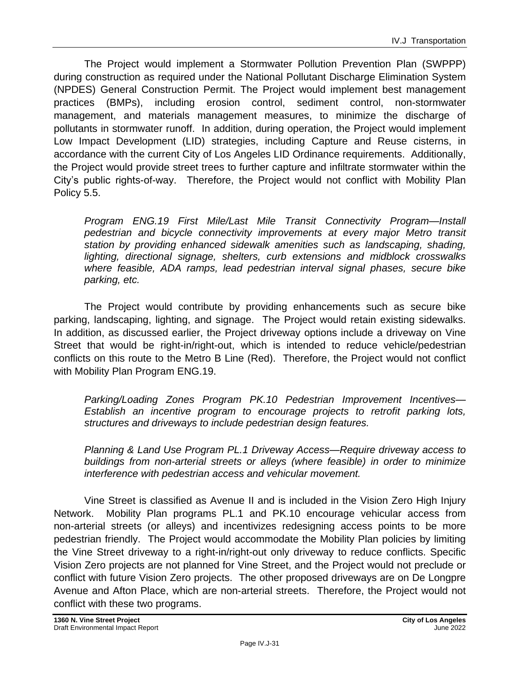The Project would implement a Stormwater Pollution Prevention Plan (SWPPP) during construction as required under the National Pollutant Discharge Elimination System (NPDES) General Construction Permit. The Project would implement best management practices (BMPs), including erosion control, sediment control, non-stormwater management, and materials management measures, to minimize the discharge of pollutants in stormwater runoff. In addition, during operation, the Project would implement Low Impact Development (LID) strategies, including Capture and Reuse cisterns, in accordance with the current City of Los Angeles LID Ordinance requirements. Additionally, the Project would provide street trees to further capture and infiltrate stormwater within the City's public rights-of-way. Therefore, the Project would not conflict with Mobility Plan Policy 5.5.

*Program ENG.19 First Mile/Last Mile Transit Connectivity Program—Install pedestrian and bicycle connectivity improvements at every major Metro transit station by providing enhanced sidewalk amenities such as landscaping, shading, lighting, directional signage, shelters, curb extensions and midblock crosswalks where feasible, ADA ramps, lead pedestrian interval signal phases, secure bike parking, etc.*

The Project would contribute by providing enhancements such as secure bike parking, landscaping, lighting, and signage. The Project would retain existing sidewalks. In addition, as discussed earlier, the Project driveway options include a driveway on Vine Street that would be right-in/right-out, which is intended to reduce vehicle/pedestrian conflicts on this route to the Metro B Line (Red). Therefore, the Project would not conflict with Mobility Plan Program ENG.19.

*Parking/Loading Zones Program PK.10 Pedestrian Improvement Incentives— Establish an incentive program to encourage projects to retrofit parking lots, structures and driveways to include pedestrian design features.*

*Planning & Land Use Program PL.1 Driveway Access—Require driveway access to buildings from non-arterial streets or alleys (where feasible) in order to minimize interference with pedestrian access and vehicular movement.*

Vine Street is classified as Avenue II and is included in the Vision Zero High Injury Network. Mobility Plan programs PL.1 and PK.10 encourage vehicular access from non-arterial streets (or alleys) and incentivizes redesigning access points to be more pedestrian friendly. The Project would accommodate the Mobility Plan policies by limiting the Vine Street driveway to a right-in/right-out only driveway to reduce conflicts. Specific Vision Zero projects are not planned for Vine Street, and the Project would not preclude or conflict with future Vision Zero projects. The other proposed driveways are on De Longpre Avenue and Afton Place, which are non-arterial streets. Therefore, the Project would not conflict with these two programs.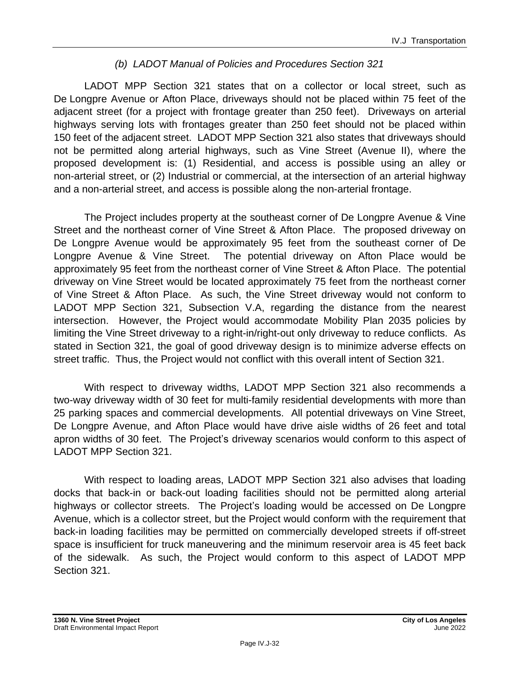#### *(b) LADOT Manual of Policies and Procedures Section 321*

LADOT MPP Section 321 states that on a collector or local street, such as De Longpre Avenue or Afton Place, driveways should not be placed within 75 feet of the adjacent street (for a project with frontage greater than 250 feet). Driveways on arterial highways serving lots with frontages greater than 250 feet should not be placed within 150 feet of the adjacent street. LADOT MPP Section 321 also states that driveways should not be permitted along arterial highways, such as Vine Street (Avenue II), where the proposed development is: (1) Residential, and access is possible using an alley or non-arterial street, or (2) Industrial or commercial, at the intersection of an arterial highway and a non-arterial street, and access is possible along the non-arterial frontage.

The Project includes property at the southeast corner of De Longpre Avenue & Vine Street and the northeast corner of Vine Street & Afton Place. The proposed driveway on De Longpre Avenue would be approximately 95 feet from the southeast corner of De Longpre Avenue & Vine Street. The potential driveway on Afton Place would be approximately 95 feet from the northeast corner of Vine Street & Afton Place. The potential driveway on Vine Street would be located approximately 75 feet from the northeast corner of Vine Street & Afton Place. As such, the Vine Street driveway would not conform to LADOT MPP Section 321, Subsection V.A, regarding the distance from the nearest intersection. However, the Project would accommodate Mobility Plan 2035 policies by limiting the Vine Street driveway to a right-in/right-out only driveway to reduce conflicts. As stated in Section 321, the goal of good driveway design is to minimize adverse effects on street traffic. Thus, the Project would not conflict with this overall intent of Section 321.

With respect to driveway widths, LADOT MPP Section 321 also recommends a two-way driveway width of 30 feet for multi-family residential developments with more than 25 parking spaces and commercial developments. All potential driveways on Vine Street, De Longpre Avenue, and Afton Place would have drive aisle widths of 26 feet and total apron widths of 30 feet. The Project's driveway scenarios would conform to this aspect of LADOT MPP Section 321.

With respect to loading areas, LADOT MPP Section 321 also advises that loading docks that back-in or back-out loading facilities should not be permitted along arterial highways or collector streets. The Project's loading would be accessed on De Longpre Avenue, which is a collector street, but the Project would conform with the requirement that back-in loading facilities may be permitted on commercially developed streets if off-street space is insufficient for truck maneuvering and the minimum reservoir area is 45 feet back of the sidewalk. As such, the Project would conform to this aspect of LADOT MPP Section 321.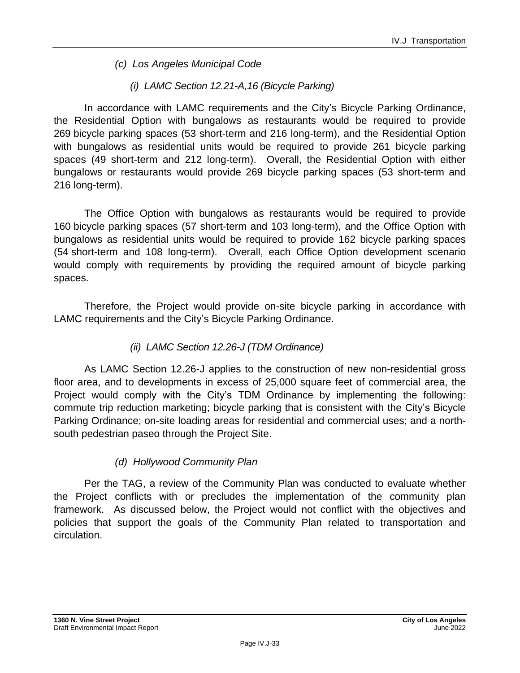- *(c) Los Angeles Municipal Code*
	- *(i) LAMC Section 12.21-A,16 (Bicycle Parking)*

In accordance with LAMC requirements and the City's Bicycle Parking Ordinance, the Residential Option with bungalows as restaurants would be required to provide 269 bicycle parking spaces (53 short-term and 216 long-term), and the Residential Option with bungalows as residential units would be required to provide 261 bicycle parking spaces (49 short-term and 212 long-term). Overall, the Residential Option with either bungalows or restaurants would provide 269 bicycle parking spaces (53 short-term and 216 long-term).

The Office Option with bungalows as restaurants would be required to provide 160 bicycle parking spaces (57 short-term and 103 long-term), and the Office Option with bungalows as residential units would be required to provide 162 bicycle parking spaces (54 short-term and 108 long-term). Overall, each Office Option development scenario would comply with requirements by providing the required amount of bicycle parking spaces.

Therefore, the Project would provide on-site bicycle parking in accordance with LAMC requirements and the City's Bicycle Parking Ordinance.

#### *(ii) LAMC Section 12.26-J (TDM Ordinance)*

As LAMC Section 12.26-J applies to the construction of new non-residential gross floor area, and to developments in excess of 25,000 square feet of commercial area, the Project would comply with the City's TDM Ordinance by implementing the following: commute trip reduction marketing; bicycle parking that is consistent with the City's Bicycle Parking Ordinance; on-site loading areas for residential and commercial uses; and a northsouth pedestrian paseo through the Project Site.

### *(d) Hollywood Community Plan*

Per the TAG, a review of the Community Plan was conducted to evaluate whether the Project conflicts with or precludes the implementation of the community plan framework. As discussed below, the Project would not conflict with the objectives and policies that support the goals of the Community Plan related to transportation and circulation.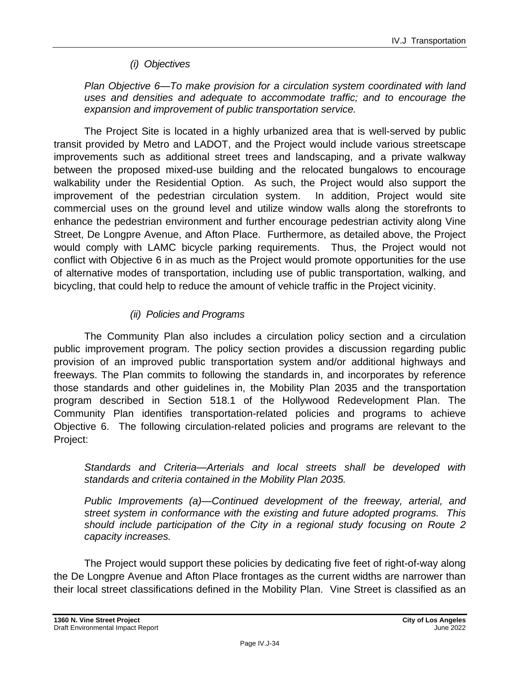#### *(i) Objectives*

*Plan Objective 6—To make provision for a circulation system coordinated with land uses and densities and adequate to accommodate traffic; and to encourage the expansion and improvement of public transportation service.*

The Project Site is located in a highly urbanized area that is well-served by public transit provided by Metro and LADOT, and the Project would include various streetscape improvements such as additional street trees and landscaping, and a private walkway between the proposed mixed-use building and the relocated bungalows to encourage walkability under the Residential Option. As such, the Project would also support the improvement of the pedestrian circulation system. In addition, Project would site commercial uses on the ground level and utilize window walls along the storefronts to enhance the pedestrian environment and further encourage pedestrian activity along Vine Street, De Longpre Avenue, and Afton Place. Furthermore, as detailed above, the Project would comply with LAMC bicycle parking requirements. Thus, the Project would not conflict with Objective 6 in as much as the Project would promote opportunities for the use of alternative modes of transportation, including use of public transportation, walking, and bicycling, that could help to reduce the amount of vehicle traffic in the Project vicinity.

#### *(ii) Policies and Programs*

The Community Plan also includes a circulation policy section and a circulation public improvement program. The policy section provides a discussion regarding public provision of an improved public transportation system and/or additional highways and freeways. The Plan commits to following the standards in, and incorporates by reference those standards and other guidelines in, the Mobility Plan 2035 and the transportation program described in Section 518.1 of the Hollywood Redevelopment Plan. The Community Plan identifies transportation-related policies and programs to achieve Objective 6. The following circulation-related policies and programs are relevant to the Project:

*Standards and Criteria—Arterials and local streets shall be developed with standards and criteria contained in the Mobility Plan 2035.*

*Public Improvements (a)—Continued development of the freeway, arterial, and street system in conformance with the existing and future adopted programs. This should include participation of the City in a regional study focusing on Route 2 capacity increases.*

The Project would support these policies by dedicating five feet of right-of-way along the De Longpre Avenue and Afton Place frontages as the current widths are narrower than their local street classifications defined in the Mobility Plan. Vine Street is classified as an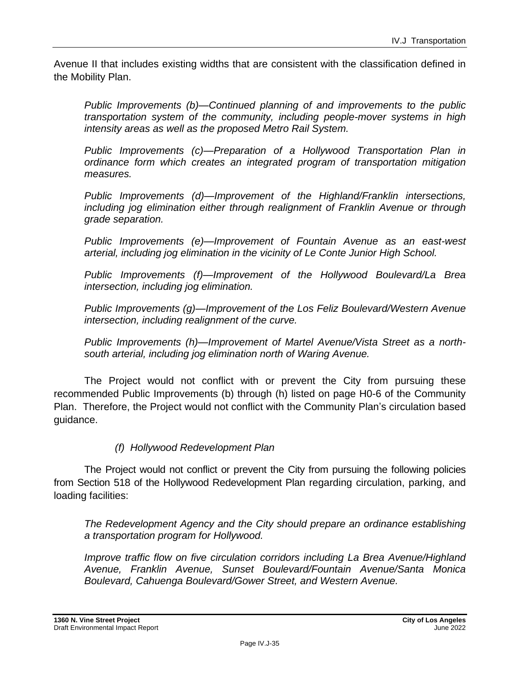Avenue II that includes existing widths that are consistent with the classification defined in the Mobility Plan.

*Public Improvements (b)—Continued planning of and improvements to the public transportation system of the community, including people-mover systems in high intensity areas as well as the proposed Metro Rail System.*

*Public Improvements (c)—Preparation of a Hollywood Transportation Plan in ordinance form which creates an integrated program of transportation mitigation measures.*

*Public Improvements (d)—Improvement of the Highland/Franklin intersections, including jog elimination either through realignment of Franklin Avenue or through grade separation.*

*Public Improvements (e)—Improvement of Fountain Avenue as an east-west arterial, including jog elimination in the vicinity of Le Conte Junior High School.*

*Public Improvements (f)—Improvement of the Hollywood Boulevard/La Brea intersection, including jog elimination.*

*Public Improvements (g)—Improvement of the Los Feliz Boulevard/Western Avenue intersection, including realignment of the curve.*

*Public Improvements (h)—Improvement of Martel Avenue/Vista Street as a northsouth arterial, including jog elimination north of Waring Avenue.*

The Project would not conflict with or prevent the City from pursuing these recommended Public Improvements (b) through (h) listed on page H0-6 of the Community Plan. Therefore, the Project would not conflict with the Community Plan's circulation based guidance.

#### *(f) Hollywood Redevelopment Plan*

The Project would not conflict or prevent the City from pursuing the following policies from Section 518 of the Hollywood Redevelopment Plan regarding circulation, parking, and loading facilities:

*The Redevelopment Agency and the City should prepare an ordinance establishing a transportation program for Hollywood.*

*Improve traffic flow on five circulation corridors including La Brea Avenue/Highland Avenue, Franklin Avenue, Sunset Boulevard/Fountain Avenue/Santa Monica Boulevard, Cahuenga Boulevard/Gower Street, and Western Avenue.*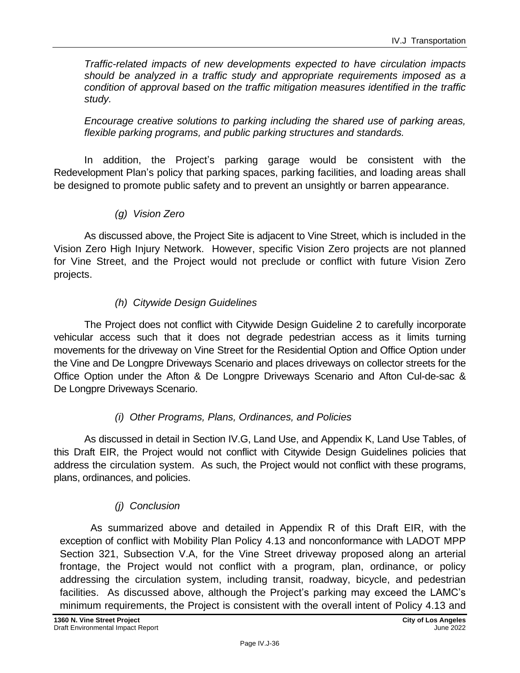*Traffic-related impacts of new developments expected to have circulation impacts should be analyzed in a traffic study and appropriate requirements imposed as a condition of approval based on the traffic mitigation measures identified in the traffic study.*

*Encourage creative solutions to parking including the shared use of parking areas, flexible parking programs, and public parking structures and standards.*

In addition, the Project's parking garage would be consistent with the Redevelopment Plan's policy that parking spaces, parking facilities, and loading areas shall be designed to promote public safety and to prevent an unsightly or barren appearance.

*(g) Vision Zero*

As discussed above, the Project Site is adjacent to Vine Street, which is included in the Vision Zero High Injury Network. However, specific Vision Zero projects are not planned for Vine Street, and the Project would not preclude or conflict with future Vision Zero projects.

#### *(h) Citywide Design Guidelines*

The Project does not conflict with Citywide Design Guideline 2 to carefully incorporate vehicular access such that it does not degrade pedestrian access as it limits turning movements for the driveway on Vine Street for the Residential Option and Office Option under the Vine and De Longpre Driveways Scenario and places driveways on collector streets for the Office Option under the Afton & De Longpre Driveways Scenario and Afton Cul-de-sac & De Longpre Driveways Scenario.

#### *(i) Other Programs, Plans, Ordinances, and Policies*

As discussed in detail in Section IV.G, Land Use, and Appendix K, Land Use Tables, of this Draft EIR, the Project would not conflict with Citywide Design Guidelines policies that address the circulation system. As such, the Project would not conflict with these programs, plans, ordinances, and policies.

#### *(j) Conclusion*

As summarized above and detailed in Appendix R of this Draft EIR, with the exception of conflict with Mobility Plan Policy 4.13 and nonconformance with LADOT MPP Section 321, Subsection V.A, for the Vine Street driveway proposed along an arterial frontage, the Project would not conflict with a program, plan, ordinance, or policy addressing the circulation system, including transit, roadway, bicycle, and pedestrian facilities. As discussed above, although the Project's parking may exceed the LAMC's minimum requirements, the Project is consistent with the overall intent of Policy 4.13 and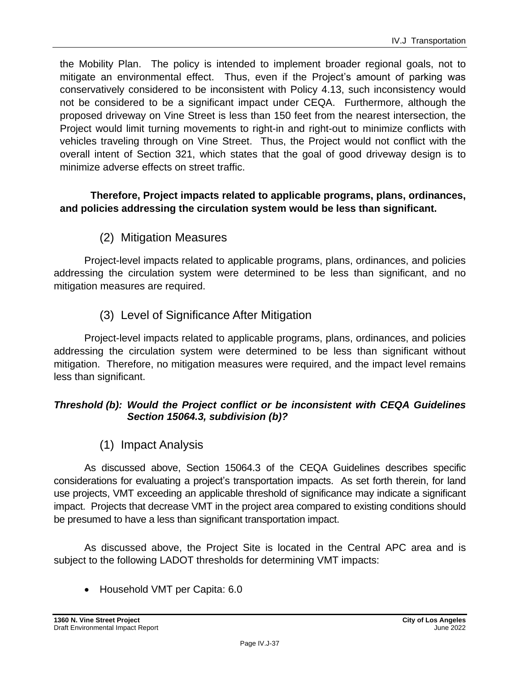the Mobility Plan. The policy is intended to implement broader regional goals, not to mitigate an environmental effect. Thus, even if the Project's amount of parking was conservatively considered to be inconsistent with Policy 4.13, such inconsistency would not be considered to be a significant impact under CEQA. Furthermore, although the proposed driveway on Vine Street is less than 150 feet from the nearest intersection, the Project would limit turning movements to right-in and right-out to minimize conflicts with vehicles traveling through on Vine Street. Thus, the Project would not conflict with the overall intent of Section 321, which states that the goal of good driveway design is to minimize adverse effects on street traffic.

#### **Therefore, Project impacts related to applicable programs, plans, ordinances, and policies addressing the circulation system would be less than significant.**

(2) Mitigation Measures

Project-level impacts related to applicable programs, plans, ordinances, and policies addressing the circulation system were determined to be less than significant, and no mitigation measures are required.

(3) Level of Significance After Mitigation

Project-level impacts related to applicable programs, plans, ordinances, and policies addressing the circulation system were determined to be less than significant without mitigation. Therefore, no mitigation measures were required, and the impact level remains less than significant.

#### *Threshold (b): Would the Project conflict or be inconsistent with CEQA Guidelines Section 15064.3, subdivision (b)?*

(1) Impact Analysis

As discussed above, Section 15064.3 of the CEQA Guidelines describes specific considerations for evaluating a project's transportation impacts. As set forth therein, for land use projects, VMT exceeding an applicable threshold of significance may indicate a significant impact. Projects that decrease VMT in the project area compared to existing conditions should be presumed to have a less than significant transportation impact.

As discussed above, the Project Site is located in the Central APC area and is subject to the following LADOT thresholds for determining VMT impacts:

• Household VMT per Capita: 6.0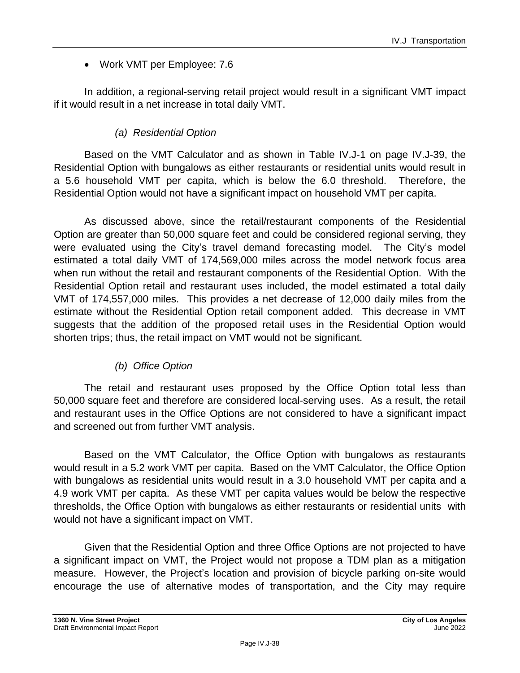### • Work VMT per Employee: 7.6

In addition, a regional-serving retail project would result in a significant VMT impact if it would result in a net increase in total daily VMT.

#### *(a) Residential Option*

Based on the VMT Calculator and as shown in Table IV.J-1 on page IV.J-39, the Residential Option with bungalows as either restaurants or residential units would result in a 5.6 household VMT per capita, which is below the 6.0 threshold. Therefore, the Residential Option would not have a significant impact on household VMT per capita.

As discussed above, since the retail/restaurant components of the Residential Option are greater than 50,000 square feet and could be considered regional serving, they were evaluated using the City's travel demand forecasting model. The City's model estimated a total daily VMT of 174,569,000 miles across the model network focus area when run without the retail and restaurant components of the Residential Option. With the Residential Option retail and restaurant uses included, the model estimated a total daily VMT of 174,557,000 miles. This provides a net decrease of 12,000 daily miles from the estimate without the Residential Option retail component added. This decrease in VMT suggests that the addition of the proposed retail uses in the Residential Option would shorten trips; thus, the retail impact on VMT would not be significant.

#### *(b) Office Option*

The retail and restaurant uses proposed by the Office Option total less than 50,000 square feet and therefore are considered local-serving uses. As a result, the retail and restaurant uses in the Office Options are not considered to have a significant impact and screened out from further VMT analysis.

Based on the VMT Calculator, the Office Option with bungalows as restaurants would result in a 5.2 work VMT per capita. Based on the VMT Calculator, the Office Option with bungalows as residential units would result in a 3.0 household VMT per capita and a 4.9 work VMT per capita. As these VMT per capita values would be below the respective thresholds, the Office Option with bungalows as either restaurants or residential units with would not have a significant impact on VMT.

Given that the Residential Option and three Office Options are not projected to have a significant impact on VMT, the Project would not propose a TDM plan as a mitigation measure. However, the Project's location and provision of bicycle parking on-site would encourage the use of alternative modes of transportation, and the City may require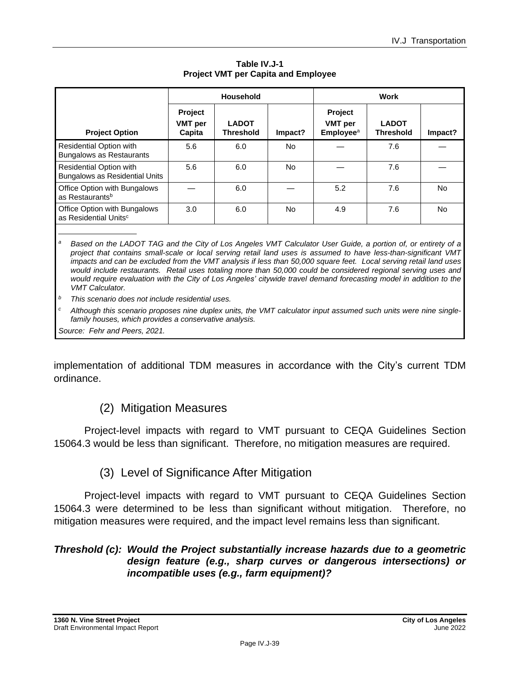|                                                                         | Household                                  |                                  |           | <b>Work</b>                                                      |                                  |           |
|-------------------------------------------------------------------------|--------------------------------------------|----------------------------------|-----------|------------------------------------------------------------------|----------------------------------|-----------|
| <b>Project Option</b>                                                   | <b>Project</b><br><b>VMT</b> per<br>Capita | <b>LADOT</b><br><b>Threshold</b> | Impact?   | <b>Project</b><br><b>VMT</b> per<br><b>Employee</b> <sup>a</sup> | <b>LADOT</b><br><b>Threshold</b> | Impact?   |
| Residential Option with<br><b>Bungalows as Restaurants</b>              | 5.6                                        | 6.0                              | <b>No</b> |                                                                  | 7.6                              |           |
| <b>Residential Option with</b><br><b>Bungalows as Residential Units</b> | 5.6                                        | 6.0                              | <b>No</b> |                                                                  | 7.6                              |           |
| Office Option with Bungalows<br>as Restaurants <sup>b</sup>             |                                            | 6.0                              |           | 5.2                                                              | 7.6                              | <b>No</b> |
| Office Option with Bungalows<br>as Residential Units <sup>c</sup>       | 3.0                                        | 6.0                              | No        | 4.9                                                              | 7.6                              | <b>No</b> |
|                                                                         |                                            |                                  |           |                                                                  |                                  |           |

**Table IV.J-1 Project VMT per Capita and Employee**

*<sup>a</sup> Based on the LADOT TAG and the City of Los Angeles VMT Calculator User Guide, a portion of, or entirety of a project that contains small-scale or local serving retail land uses is assumed to have less-than-significant VMT impacts and can be excluded from the VMT analysis if less than 50,000 square feet. Local serving retail land uses would include restaurants. Retail uses totaling more than 50,000 could be considered regional serving uses and would require evaluation with the City of Los Angeles' citywide travel demand forecasting model in addition to the VMT Calculator.*

*<sup>b</sup> This scenario does not include residential uses.*

*<sup>c</sup> Although this scenario proposes nine duplex units, the VMT calculator input assumed such units were nine singlefamily houses, which provides a conservative analysis.*

*Source: Fehr and Peers, 2021.*

implementation of additional TDM measures in accordance with the City's current TDM ordinance.

#### (2) Mitigation Measures

Project-level impacts with regard to VMT pursuant to CEQA Guidelines Section 15064.3 would be less than significant. Therefore, no mitigation measures are required.

### (3) Level of Significance After Mitigation

Project-level impacts with regard to VMT pursuant to CEQA Guidelines Section 15064.3 were determined to be less than significant without mitigation. Therefore, no mitigation measures were required, and the impact level remains less than significant.

#### *Threshold (c): Would the Project substantially increase hazards due to a geometric design feature (e.g., sharp curves or dangerous intersections) or incompatible uses (e.g., farm equipment)?*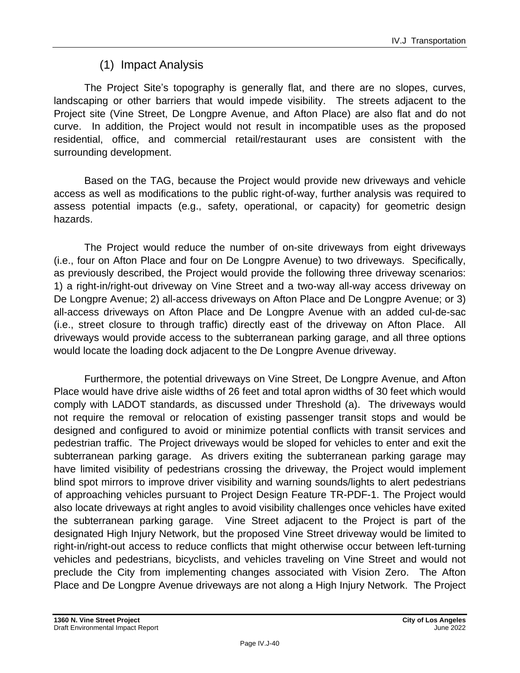## (1) Impact Analysis

The Project Site's topography is generally flat, and there are no slopes, curves, landscaping or other barriers that would impede visibility. The streets adjacent to the Project site (Vine Street, De Longpre Avenue, and Afton Place) are also flat and do not curve. In addition, the Project would not result in incompatible uses as the proposed residential, office, and commercial retail/restaurant uses are consistent with the surrounding development.

Based on the TAG, because the Project would provide new driveways and vehicle access as well as modifications to the public right-of-way, further analysis was required to assess potential impacts (e.g., safety, operational, or capacity) for geometric design hazards.

The Project would reduce the number of on-site driveways from eight driveways (i.e., four on Afton Place and four on De Longpre Avenue) to two driveways. Specifically, as previously described, the Project would provide the following three driveway scenarios: 1) a right-in/right-out driveway on Vine Street and a two-way all-way access driveway on De Longpre Avenue; 2) all-access driveways on Afton Place and De Longpre Avenue; or 3) all-access driveways on Afton Place and De Longpre Avenue with an added cul-de-sac (i.e., street closure to through traffic) directly east of the driveway on Afton Place. All driveways would provide access to the subterranean parking garage, and all three options would locate the loading dock adjacent to the De Longpre Avenue driveway.

Furthermore, the potential driveways on Vine Street, De Longpre Avenue, and Afton Place would have drive aisle widths of 26 feet and total apron widths of 30 feet which would comply with LADOT standards, as discussed under Threshold (a). The driveways would not require the removal or relocation of existing passenger transit stops and would be designed and configured to avoid or minimize potential conflicts with transit services and pedestrian traffic. The Project driveways would be sloped for vehicles to enter and exit the subterranean parking garage. As drivers exiting the subterranean parking garage may have limited visibility of pedestrians crossing the driveway, the Project would implement blind spot mirrors to improve driver visibility and warning sounds/lights to alert pedestrians of approaching vehicles pursuant to Project Design Feature TR-PDF-1. The Project would also locate driveways at right angles to avoid visibility challenges once vehicles have exited the subterranean parking garage. Vine Street adjacent to the Project is part of the designated High Injury Network, but the proposed Vine Street driveway would be limited to right-in/right-out access to reduce conflicts that might otherwise occur between left-turning vehicles and pedestrians, bicyclists, and vehicles traveling on Vine Street and would not preclude the City from implementing changes associated with Vision Zero. The Afton Place and De Longpre Avenue driveways are not along a High Injury Network. The Project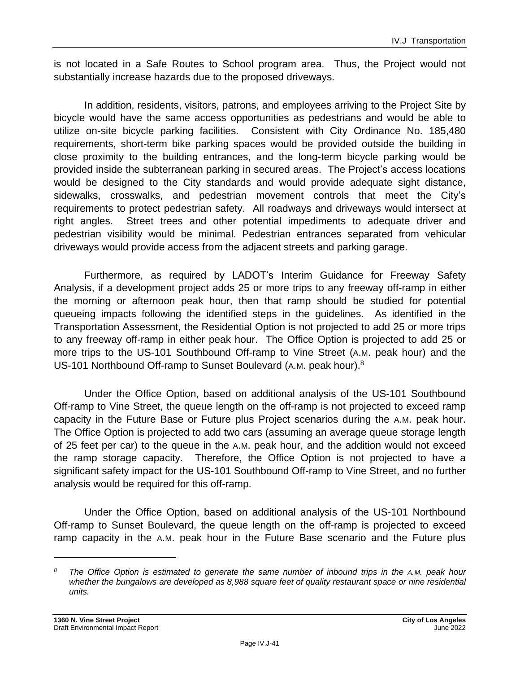is not located in a Safe Routes to School program area. Thus, the Project would not substantially increase hazards due to the proposed driveways.

In addition, residents, visitors, patrons, and employees arriving to the Project Site by bicycle would have the same access opportunities as pedestrians and would be able to utilize on-site bicycle parking facilities. Consistent with City Ordinance No. 185,480 requirements, short-term bike parking spaces would be provided outside the building in close proximity to the building entrances, and the long-term bicycle parking would be provided inside the subterranean parking in secured areas. The Project's access locations would be designed to the City standards and would provide adequate sight distance, sidewalks, crosswalks, and pedestrian movement controls that meet the City's requirements to protect pedestrian safety. All roadways and driveways would intersect at right angles. Street trees and other potential impediments to adequate driver and pedestrian visibility would be minimal. Pedestrian entrances separated from vehicular driveways would provide access from the adjacent streets and parking garage.

Furthermore, as required by LADOT's Interim Guidance for Freeway Safety Analysis, if a development project adds 25 or more trips to any freeway off-ramp in either the morning or afternoon peak hour, then that ramp should be studied for potential queueing impacts following the identified steps in the guidelines. As identified in the Transportation Assessment, the Residential Option is not projected to add 25 or more trips to any freeway off-ramp in either peak hour. The Office Option is projected to add 25 or more trips to the US-101 Southbound Off-ramp to Vine Street (A.M. peak hour) and the US-101 Northbound Off-ramp to Sunset Boulevard (A.M. peak hour).<sup>8</sup>

Under the Office Option, based on additional analysis of the US-101 Southbound Off-ramp to Vine Street, the queue length on the off-ramp is not projected to exceed ramp capacity in the Future Base or Future plus Project scenarios during the A.M. peak hour. The Office Option is projected to add two cars (assuming an average queue storage length of 25 feet per car) to the queue in the A.M. peak hour, and the addition would not exceed the ramp storage capacity. Therefore, the Office Option is not projected to have a significant safety impact for the US-101 Southbound Off-ramp to Vine Street, and no further analysis would be required for this off-ramp.

Under the Office Option, based on additional analysis of the US-101 Northbound Off-ramp to Sunset Boulevard, the queue length on the off-ramp is projected to exceed ramp capacity in the A.M. peak hour in the Future Base scenario and the Future plus

*<sup>8</sup> The Office Option is estimated to generate the same number of inbound trips in the A.M. peak hour whether the bungalows are developed as 8,988 square feet of quality restaurant space or nine residential units.*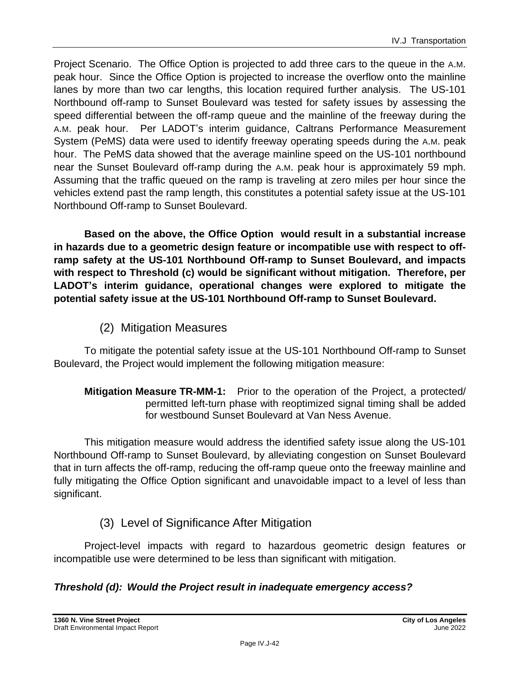Project Scenario. The Office Option is projected to add three cars to the queue in the A.M. peak hour. Since the Office Option is projected to increase the overflow onto the mainline lanes by more than two car lengths, this location required further analysis. The US-101 Northbound off-ramp to Sunset Boulevard was tested for safety issues by assessing the speed differential between the off-ramp queue and the mainline of the freeway during the A.M. peak hour. Per LADOT's interim guidance, Caltrans Performance Measurement System (PeMS) data were used to identify freeway operating speeds during the A.M. peak hour. The PeMS data showed that the average mainline speed on the US-101 northbound near the Sunset Boulevard off-ramp during the A.M. peak hour is approximately 59 mph. Assuming that the traffic queued on the ramp is traveling at zero miles per hour since the vehicles extend past the ramp length, this constitutes a potential safety issue at the US-101 Northbound Off-ramp to Sunset Boulevard.

**Based on the above, the Office Option would result in a substantial increase in hazards due to a geometric design feature or incompatible use with respect to offramp safety at the US-101 Northbound Off-ramp to Sunset Boulevard, and impacts with respect to Threshold (c) would be significant without mitigation. Therefore, per LADOT's interim guidance, operational changes were explored to mitigate the potential safety issue at the US-101 Northbound Off-ramp to Sunset Boulevard.**

## (2) Mitigation Measures

To mitigate the potential safety issue at the US-101 Northbound Off-ramp to Sunset Boulevard, the Project would implement the following mitigation measure:

**Mitigation Measure TR-MM-1:** Prior to the operation of the Project, a protected/ permitted left-turn phase with reoptimized signal timing shall be added for westbound Sunset Boulevard at Van Ness Avenue.

This mitigation measure would address the identified safety issue along the US-101 Northbound Off-ramp to Sunset Boulevard, by alleviating congestion on Sunset Boulevard that in turn affects the off-ramp, reducing the off-ramp queue onto the freeway mainline and fully mitigating the Office Option significant and unavoidable impact to a level of less than significant.

## (3) Level of Significance After Mitigation

Project-level impacts with regard to hazardous geometric design features or incompatible use were determined to be less than significant with mitigation.

#### *Threshold (d): Would the Project result in inadequate emergency access?*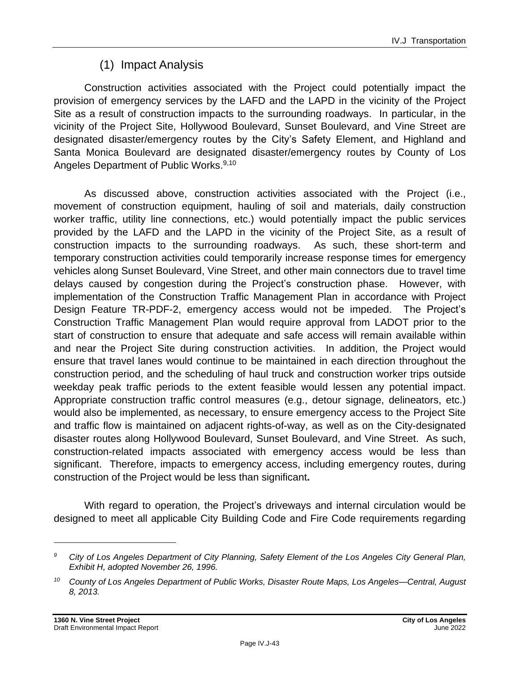## (1) Impact Analysis

Construction activities associated with the Project could potentially impact the provision of emergency services by the LAFD and the LAPD in the vicinity of the Project Site as a result of construction impacts to the surrounding roadways. In particular, in the vicinity of the Project Site, Hollywood Boulevard, Sunset Boulevard, and Vine Street are designated disaster/emergency routes by the City's Safety Element, and Highland and Santa Monica Boulevard are designated disaster/emergency routes by County of Los Angeles Department of Public Works.<sup>9,10</sup>

As discussed above, construction activities associated with the Project (i.e., movement of construction equipment, hauling of soil and materials, daily construction worker traffic, utility line connections, etc.) would potentially impact the public services provided by the LAFD and the LAPD in the vicinity of the Project Site, as a result of construction impacts to the surrounding roadways. As such, these short-term and temporary construction activities could temporarily increase response times for emergency vehicles along Sunset Boulevard, Vine Street, and other main connectors due to travel time delays caused by congestion during the Project's construction phase. However, with implementation of the Construction Traffic Management Plan in accordance with Project Design Feature TR-PDF-2, emergency access would not be impeded. The Project's Construction Traffic Management Plan would require approval from LADOT prior to the start of construction to ensure that adequate and safe access will remain available within and near the Project Site during construction activities. In addition, the Project would ensure that travel lanes would continue to be maintained in each direction throughout the construction period, and the scheduling of haul truck and construction worker trips outside weekday peak traffic periods to the extent feasible would lessen any potential impact. Appropriate construction traffic control measures (e.g., detour signage, delineators, etc.) would also be implemented, as necessary, to ensure emergency access to the Project Site and traffic flow is maintained on adjacent rights-of-way, as well as on the City-designated disaster routes along Hollywood Boulevard, Sunset Boulevard, and Vine Street. As such, construction-related impacts associated with emergency access would be less than significant. Therefore, impacts to emergency access, including emergency routes, during construction of the Project would be less than significant**.**

With regard to operation, the Project's driveways and internal circulation would be designed to meet all applicable City Building Code and Fire Code requirements regarding

*<sup>9</sup> City of Los Angeles Department of City Planning, Safety Element of the Los Angeles City General Plan, Exhibit H, adopted November 26, 1996.*

*<sup>10</sup> County of Los Angeles Department of Public Works, Disaster Route Maps, Los Angeles—Central, August 8, 2013.*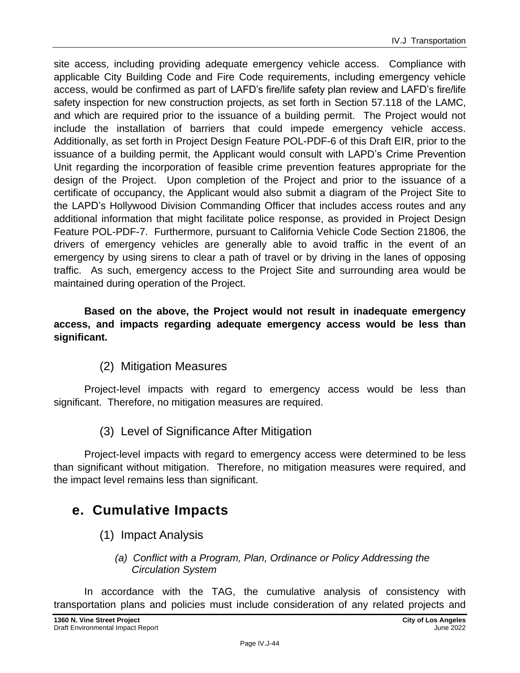site access, including providing adequate emergency vehicle access. Compliance with applicable City Building Code and Fire Code requirements, including emergency vehicle access, would be confirmed as part of LAFD's fire/life safety plan review and LAFD's fire/life safety inspection for new construction projects, as set forth in Section 57.118 of the LAMC, and which are required prior to the issuance of a building permit. The Project would not include the installation of barriers that could impede emergency vehicle access. Additionally, as set forth in Project Design Feature POL-PDF-6 of this Draft EIR, prior to the issuance of a building permit, the Applicant would consult with LAPD's Crime Prevention Unit regarding the incorporation of feasible crime prevention features appropriate for the design of the Project. Upon completion of the Project and prior to the issuance of a certificate of occupancy, the Applicant would also submit a diagram of the Project Site to the LAPD's Hollywood Division Commanding Officer that includes access routes and any additional information that might facilitate police response, as provided in Project Design Feature POL-PDF-7. Furthermore, pursuant to California Vehicle Code Section 21806, the drivers of emergency vehicles are generally able to avoid traffic in the event of an emergency by using sirens to clear a path of travel or by driving in the lanes of opposing traffic. As such, emergency access to the Project Site and surrounding area would be maintained during operation of the Project.

**Based on the above, the Project would not result in inadequate emergency access, and impacts regarding adequate emergency access would be less than significant.**

### (2) Mitigation Measures

Project-level impacts with regard to emergency access would be less than significant. Therefore, no mitigation measures are required.

(3) Level of Significance After Mitigation

Project-level impacts with regard to emergency access were determined to be less than significant without mitigation. Therefore, no mitigation measures were required, and the impact level remains less than significant.

## **e. Cumulative Impacts**

- (1) Impact Analysis
	- *(a) Conflict with a Program, Plan, Ordinance or Policy Addressing the Circulation System*

In accordance with the TAG, the cumulative analysis of consistency with transportation plans and policies must include consideration of any related projects and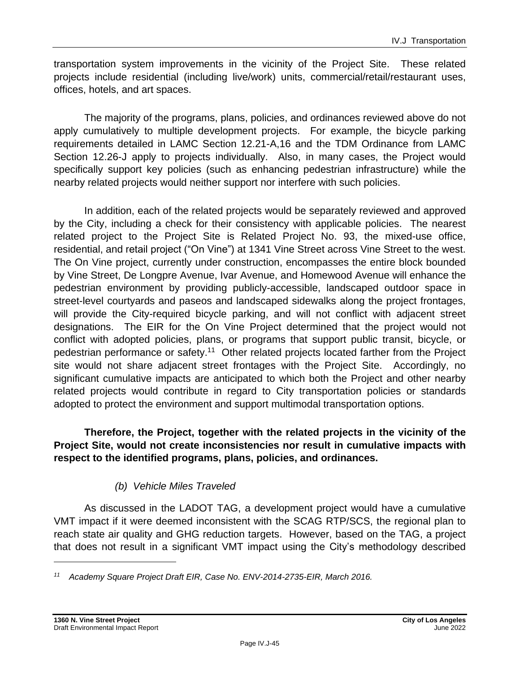transportation system improvements in the vicinity of the Project Site. These related projects include residential (including live/work) units, commercial/retail/restaurant uses, offices, hotels, and art spaces.

The majority of the programs, plans, policies, and ordinances reviewed above do not apply cumulatively to multiple development projects. For example, the bicycle parking requirements detailed in LAMC Section 12.21-A,16 and the TDM Ordinance from LAMC Section 12.26-J apply to projects individually. Also, in many cases, the Project would specifically support key policies (such as enhancing pedestrian infrastructure) while the nearby related projects would neither support nor interfere with such policies.

In addition, each of the related projects would be separately reviewed and approved by the City, including a check for their consistency with applicable policies. The nearest related project to the Project Site is Related Project No. 93, the mixed-use office, residential, and retail project ("On Vine") at 1341 Vine Street across Vine Street to the west. The On Vine project, currently under construction, encompasses the entire block bounded by Vine Street, De Longpre Avenue, Ivar Avenue, and Homewood Avenue will enhance the pedestrian environment by providing publicly-accessible, landscaped outdoor space in street-level courtyards and paseos and landscaped sidewalks along the project frontages, will provide the City-required bicycle parking, and will not conflict with adjacent street designations. The EIR for the On Vine Project determined that the project would not conflict with adopted policies, plans, or programs that support public transit, bicycle, or pedestrian performance or safety.<sup>11</sup> Other related projects located farther from the Project site would not share adjacent street frontages with the Project Site. Accordingly, no significant cumulative impacts are anticipated to which both the Project and other nearby related projects would contribute in regard to City transportation policies or standards adopted to protect the environment and support multimodal transportation options.

#### **Therefore, the Project, together with the related projects in the vicinity of the Project Site, would not create inconsistencies nor result in cumulative impacts with respect to the identified programs, plans, policies, and ordinances.**

### *(b) Vehicle Miles Traveled*

As discussed in the LADOT TAG, a development project would have a cumulative VMT impact if it were deemed inconsistent with the SCAG RTP/SCS, the regional plan to reach state air quality and GHG reduction targets. However, based on the TAG, a project that does not result in a significant VMT impact using the City's methodology described

*<sup>11</sup> Academy Square Project Draft EIR, Case No. ENV-2014-2735-EIR, March 2016.*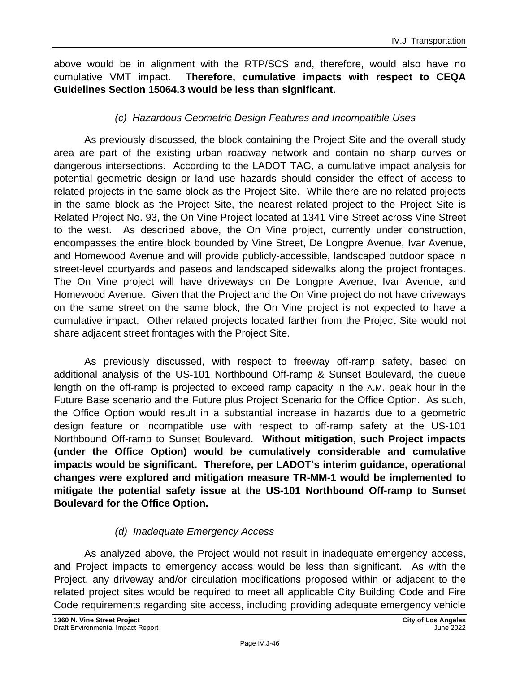above would be in alignment with the RTP/SCS and, therefore, would also have no cumulative VMT impact. **Therefore, cumulative impacts with respect to CEQA Guidelines Section 15064.3 would be less than significant.**

#### *(c) Hazardous Geometric Design Features and Incompatible Uses*

As previously discussed, the block containing the Project Site and the overall study area are part of the existing urban roadway network and contain no sharp curves or dangerous intersections. According to the LADOT TAG, a cumulative impact analysis for potential geometric design or land use hazards should consider the effect of access to related projects in the same block as the Project Site. While there are no related projects in the same block as the Project Site, the nearest related project to the Project Site is Related Project No. 93, the On Vine Project located at 1341 Vine Street across Vine Street to the west. As described above, the On Vine project, currently under construction, encompasses the entire block bounded by Vine Street, De Longpre Avenue, Ivar Avenue, and Homewood Avenue and will provide publicly-accessible, landscaped outdoor space in street-level courtyards and paseos and landscaped sidewalks along the project frontages. The On Vine project will have driveways on De Longpre Avenue, Ivar Avenue, and Homewood Avenue. Given that the Project and the On Vine project do not have driveways on the same street on the same block, the On Vine project is not expected to have a cumulative impact. Other related projects located farther from the Project Site would not share adjacent street frontages with the Project Site.

As previously discussed, with respect to freeway off-ramp safety, based on additional analysis of the US-101 Northbound Off-ramp & Sunset Boulevard, the queue length on the off-ramp is projected to exceed ramp capacity in the A.M. peak hour in the Future Base scenario and the Future plus Project Scenario for the Office Option. As such, the Office Option would result in a substantial increase in hazards due to a geometric design feature or incompatible use with respect to off-ramp safety at the US-101 Northbound Off-ramp to Sunset Boulevard. **Without mitigation, such Project impacts (under the Office Option) would be cumulatively considerable and cumulative impacts would be significant. Therefore, per LADOT's interim guidance, operational changes were explored and mitigation measure TR-MM-1 would be implemented to mitigate the potential safety issue at the US-101 Northbound Off-ramp to Sunset Boulevard for the Office Option.**

#### *(d) Inadequate Emergency Access*

As analyzed above, the Project would not result in inadequate emergency access, and Project impacts to emergency access would be less than significant. As with the Project, any driveway and/or circulation modifications proposed within or adjacent to the related project sites would be required to meet all applicable City Building Code and Fire Code requirements regarding site access, including providing adequate emergency vehicle